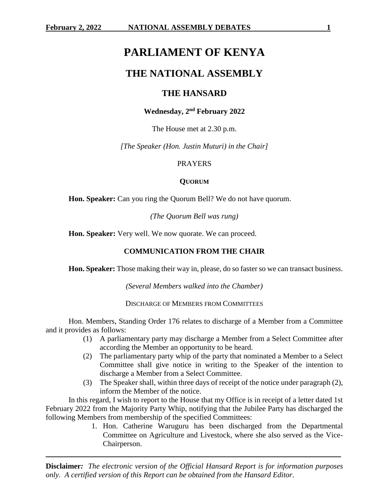# **PARLIAMENT OF KENYA**

## **THE NATIONAL ASSEMBLY**

## **THE HANSARD**

## **Wednesday, 2 nd February 2022**

The House met at 2.30 p.m.

*[The Speaker (Hon. Justin Muturi) in the Chair]*

## PRAYERS

## **QUORUM**

**Hon. Speaker:** Can you ring the Quorum Bell? We do not have quorum.

*(The Quorum Bell was rung)*

**Hon. Speaker:** Very well. We now quorate. We can proceed.

## **COMMUNICATION FROM THE CHAIR**

**Hon. Speaker:** Those making their way in, please, do so faster so we can transact business.

*(Several Members walked into the Chamber)*

DISCHARGE OF MEMBERS FROM COMMITTEES

Hon. Members, Standing Order 176 relates to discharge of a Member from a Committee and it provides as follows:

- (1) A parliamentary party may discharge a Member from a Select Committee after according the Member an opportunity to be heard.
- (2) The parliamentary party whip of the party that nominated a Member to a Select Committee shall give notice in writing to the Speaker of the intention to discharge a Member from a Select Committee.
- (3) The Speaker shall, within three days of receipt of the notice under paragraph (2), inform the Member of the notice.

In this regard, I wish to report to the House that my Office is in receipt of a letter dated 1st February 2022 from the Majority Party Whip, notifying that the Jubilee Party has discharged the following Members from membership of the specified Committees:

> 1. Hon. Catherine Waruguru has been discharged from the Departmental Committee on Agriculture and Livestock, where she also served as the Vice-Chairperson.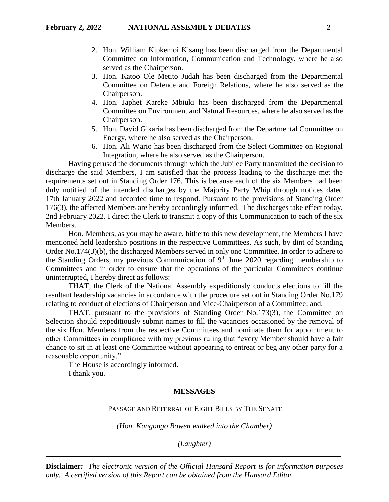- 2. Hon. William Kipkemoi Kisang has been discharged from the Departmental Committee on Information, Communication and Technology, where he also served as the Chairperson.
- 3. Hon. Katoo Ole Metito Judah has been discharged from the Departmental Committee on Defence and Foreign Relations, where he also served as the Chairperson.
- 4. Hon. Japhet Kareke Mbiuki has been discharged from the Departmental Committee on Environment and Natural Resources, where he also served as the Chairperson.
- 5. Hon. David Gikaria has been discharged from the Departmental Committee on Energy, where he also served as the Chairperson.
- 6. Hon. Ali Wario has been discharged from the Select Committee on Regional Integration, where he also served as the Chairperson.

Having perused the documents through which the Jubilee Party transmitted the decision to discharge the said Members, I am satisfied that the process leading to the discharge met the requirements set out in Standing Order 176. This is because each of the six Members had been duly notified of the intended discharges by the Majority Party Whip through notices dated 17th January 2022 and accorded time to respond. Pursuant to the provisions of Standing Order 176(3), the affected Members are hereby accordingly informed. The discharges take effect today, 2nd February 2022. I direct the Clerk to transmit a copy of this Communication to each of the six Members.

Hon. Members, as you may be aware, hitherto this new development, the Members I have mentioned held leadership positions in the respective Committees. As such, by dint of Standing Order No.174(3)(b), the discharged Members served in only one Committee. In order to adhere to the Standing Orders, my previous Communication of 9th June 2020 regarding membership to Committees and in order to ensure that the operations of the particular Committees continue uninterrupted, I hereby direct as follows:

THAT, the Clerk of the National Assembly expeditiously conducts elections to fill the resultant leadership vacancies in accordance with the procedure set out in Standing Order No.179 relating to conduct of elections of Chairperson and Vice-Chairperson of a Committee; and,

THAT, pursuant to the provisions of Standing Order No.173(3), the Committee on Selection should expeditiously submit names to fill the vacancies occasioned by the removal of the six Hon. Members from the respective Committees and nominate them for appointment to other Committees in compliance with my previous ruling that "every Member should have a fair chance to sit in at least one Committee without appearing to entreat or beg any other party for a reasonable opportunity."

The House is accordingly informed. I thank you.

## **MESSAGES**

PASSAGE AND REFERRAL OF EIGHT BILLS BY THE SENATE

*(Hon. Kangongo Bowen walked into the Chamber)*

*(Laughter)*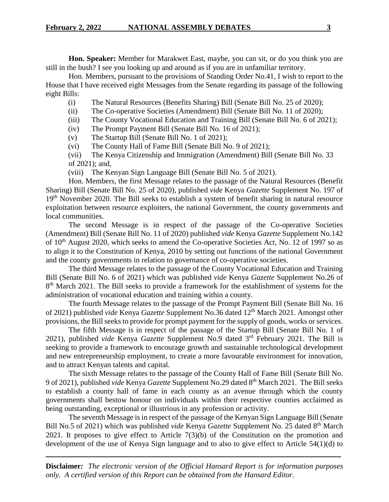**Hon. Speaker:** Member for Marakwet East, maybe, you can sit, or do you think you are still in the bush? I see you looking up and around as if you are in unfamiliar territory.

Hon. Members, pursuant to the provisions of Standing Order No.41, I wish to report to the House that I have received eight Messages from the Senate regarding its passage of the following eight Bills:

- (i) The Natural Resources (Benefits Sharing) Bill (Senate Bill No. 25 of 2020);
- (ii) The Co-operative Societies (Amendment) Bill (Senate Bill No. 11 of 2020);
- (iii) The County Vocational Education and Training Bill (Senate Bill No. 6 of 2021);
- (iv) The Prompt Payment Bill (Senate Bill No. 16 of 2021);
- (v) The Startup Bill (Senate Bill No. 1 of 2021);
- (vi) The County Hall of Fame Bill (Senate Bill No. 9 of 2021);
- (vii) The Kenya Citizenship and Immigration (Amendment) Bill (Senate Bill No. 33 of 2021); and,
- (viii) The Kenyan Sign Language Bill (Senate Bill No. 5 of 2021).

Hon. Members, the first Message relates to the passage of the Natural Resources (Benefit Sharing) Bill (Senate Bill No. 25 of 2020), published *vide* Kenya *Gazette* Supplement No. 197 of 19<sup>th</sup> November 2020. The Bill seeks to establish a system of benefit sharing in natural resource exploitation between resource exploiters, the national Government, the county governments and local communities.

The second Message is in respect of the passage of the Co-operative Societies (Amendment) Bill (Senate Bill No. 11 of 2020) published *vide* Kenya *Gazette* Supplement No.142 of 10<sup>th</sup> August 2020, which seeks to amend the Co-operative Societies Act, No. 12 of 1997 so as to align it to the Constitution of Kenya, 2010 by setting out functions of the national Government and the county governments in relation to governance of co-operative societies.

The third Message relates to the passage of the County Vocational Education and Training Bill (Senate Bill No. 6 of 2021) which was published *vide* Kenya *Gazette* Supplement No.26 of 8<sup>th</sup> March 2021. The Bill seeks to provide a framework for the establishment of systems for the administration of vocational education and training within a county.

The fourth Message relates to the passage of the Prompt Payment Bill (Senate Bill No. 16 of 2021) published *vide* Kenya *Gazette* Supplement No.36 dated 12th March 2021. Amongst other provisions*,* the Bill seeks to provide for prompt payment for the supply of goods, works or services.

The fifth Message is in respect of the passage of the Startup Bill (Senate Bill No. 1 of 2021), published *vide* Kenya *Gazette* Supplement No.9 dated 3rd February 2021. The Bill is seeking to provide a framework to encourage growth and sustainable technological development and new entrepreneurship employment, to create a more favourable environment for innovation, and to attract Kenyan talents and capital.

The sixth Message relates to the passage of the County Hall of Fame Bill (Senate Bill No. 9 of 2021), published *vide* Kenya *Gazette* Supplement No.29 dated 8 th March 2021. The Bill seeks to establish a county hall of fame in each county as an avenue through which the county governments shall bestow honour on individuals within their respective counties acclaimed as being outstanding, exceptional or illustrious in any profession or activity.

The seventh Message is in respect of the passage of the Kenyan Sign Language Bill (Senate Bill No.5 of 2021) which was published *vide* Kenya *Gazette* Supplement No. 25 dated 8<sup>th</sup> March 2021. It proposes to give effect to Article 7(3)(b) of the Constitution on the promotion and development of the use of Kenya Sign language and to also to give effect to Article 54(1)(d) to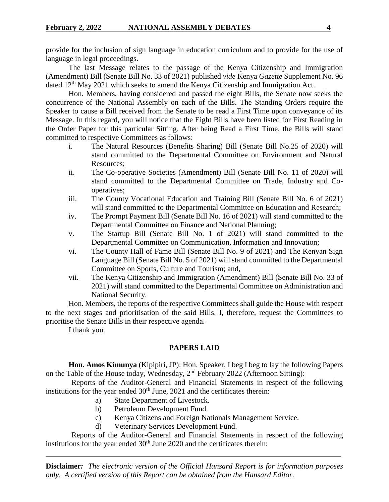provide for the inclusion of sign language in education curriculum and to provide for the use of language in legal proceedings.

The last Message relates to the passage of the Kenya Citizenship and Immigration (Amendment) Bill (Senate Bill No. 33 of 2021) published *vide* Kenya *Gazette* Supplement No. 96 dated 12<sup>th</sup> May 2021 which seeks to amend the Kenya Citizenship and Immigration Act.

Hon. Members, having considered and passed the eight Bills, the Senate now seeks the concurrence of the National Assembly on each of the Bills. The Standing Orders require the Speaker to cause a Bill received from the Senate to be read a First Time upon conveyance of its Message. In this regard, you will notice that the Eight Bills have been listed for First Reading in the Order Paper for this particular Sitting. After being Read a First Time, the Bills will stand committed to respective Committees as follows:

- i. The Natural Resources (Benefits Sharing) Bill (Senate Bill No.25 of 2020) will stand committed to the Departmental Committee on Environment and Natural Resources;
- ii. The Co-operative Societies (Amendment) Bill (Senate Bill No. 11 of 2020) will stand committed to the Departmental Committee on Trade, Industry and Cooperatives;
- iii. The County Vocational Education and Training Bill (Senate Bill No. 6 of 2021) will stand committed to the Departmental Committee on Education and Research;
- iv. The Prompt Payment Bill (Senate Bill No. 16 of 2021) will stand committed to the Departmental Committee on Finance and National Planning;
- v. The Startup Bill (Senate Bill No. 1 of 2021) will stand committed to the Departmental Committee on Communication, Information and Innovation;
- vi. The County Hall of Fame Bill (Senate Bill No. 9 of 2021) and The Kenyan Sign Language Bill (Senate Bill No. 5 of 2021) will stand committed to the Departmental Committee on Sports, Culture and Tourism; and,
- vii. The Kenya Citizenship and Immigration (Amendment) Bill (Senate Bill No. 33 of 2021) will stand committed to the Departmental Committee on Administration and National Security.

Hon. Members, the reports of the respective Committees shall guide the House with respect to the next stages and prioritisation of the said Bills. I, therefore, request the Committees to prioritise the Senate Bills in their respective agenda.

I thank you.

## **PAPERS LAID**

**Hon. Amos Kimunya** (Kipipiri, JP): Hon. Speaker, I beg I beg to lay the following Papers on the Table of the House today, Wednesday,  $2<sup>nd</sup>$  February 2022 (Afternoon Sitting):

Reports of the Auditor-General and Financial Statements in respect of the following institutions for the year ended  $30<sup>th</sup>$  June,  $2021$  and the certificates therein:

- a) State Department of Livestock.
- b) Petroleum Development Fund.
- c) Kenya Citizens and Foreign Nationals Management Service.
- d) Veterinary Services Development Fund.

Reports of the Auditor-General and Financial Statements in respect of the following institutions for the year ended  $30<sup>th</sup>$  June 2020 and the certificates therein: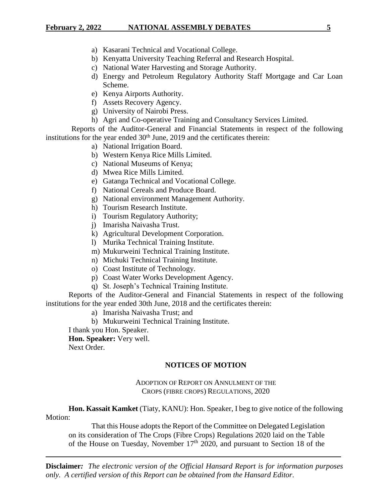## **February 2, 2022 NATIONAL ASSEMBLY DEBATES 5**

- a) Kasarani Technical and Vocational College.
- b) Kenyatta University Teaching Referral and Research Hospital.
- c) National Water Harvesting and Storage Authority.
- d) Energy and Petroleum Regulatory Authority Staff Mortgage and Car Loan Scheme.
- e) Kenya Airports Authority.
- f) Assets Recovery Agency.
- g) University of Nairobi Press.
- h) Agri and Co-operative Training and Consultancy Services Limited.

Reports of the Auditor-General and Financial Statements in respect of the following institutions for the year ended  $30<sup>th</sup>$  June, 2019 and the certificates therein:

- a) National Irrigation Board.
- b) Western Kenya Rice Mills Limited.
- c) National Museums of Kenya;
- d) Mwea Rice Mills Limited.
- e) Gatanga Technical and Vocational College.
- f) National Cereals and Produce Board.
- g) National environment Management Authority.
- h) Tourism Research Institute.
- i) Tourism Regulatory Authority;
- j) Imarisha Naivasha Trust.
- k) Agricultural Development Corporation.
- l) Murika Technical Training Institute.
- m) Mukurweini Technical Training Institute.
- n) Michuki Technical Training Institute.
- o) Coast Institute of Technology.
- p) Coast Water Works Development Agency.
- q) St. Joseph's Technical Training Institute.

Reports of the Auditor-General and Financial Statements in respect of the following institutions for the year ended 30th June, 2018 and the certificates therein:

- a) Imarisha Naivasha Trust; and
- b) Mukurweini Technical Training Institute.

I thank you Hon. Speaker.

### **Hon. Speaker:** Very well.

Next Order.

#### **NOTICES OF MOTION**

ADOPTION OF REPORT ON ANNULMENT OF THE CROPS (FIBRE CROPS) REGULATIONS, 2020

**Hon. Kassait Kamket** (Tiaty, KANU): Hon. Speaker, I beg to give notice of the following Motion:

That this House adopts the Report of the Committee on Delegated Legislation on its consideration of The Crops (Fibre Crops) Regulations 2020 laid on the Table of the House on Tuesday, November  $17<sup>th</sup>$  2020, and pursuant to Section 18 of the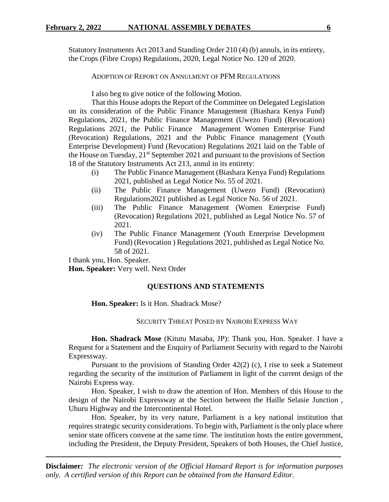Statutory Instruments Act 2013 and Standing Order 210 (4) (b) annuls, in its entirety, the Crops (Fibre Crops) Regulations, 2020, Legal Notice No. 120 of 2020.

ADOPTION OF REPORT ON ANNULMENT OF PFM REGULATIONS

I also beg to give notice of the following Motion.

That this House adopts the Report of the Committee on Delegated Legislation on its consideration of the Public Finance Management (Biashara Kenya Fund) Regulations, 2021, the Public Finance Management (Uwezo Fund) (Revocation) Regulations 2021, the Public Finance Management Women Enterprise Fund (Revocation) Regulations, 2021 and the Public Finance management (Youth Enterprise Development) Fund (Revocation) Regulations 2021 laid on the Table of the House on Tuesday,  $21^{st}$  September 2021 and pursuant to the provisions of Section 18 of the Statutory Instruments Act 213, annul in its entirety:

- (i) The Public Finance Management (Biashara Kenya Fund) Regulations 2021, published as Legal Notice No. 55 of 2021.
- (ii) The Public Finance Management (Uwezo Fund) (Revocation) Regulations2021 published as Legal Notice No. 56 of 2021.
- (iii) The Public Finance Management (Women Enterprise Fund) (Revocation) Regulations 2021, published as Legal Notice No. 57 of 2021.
- (iv) The Public Finance Management (Youth Enterprise Development Fund) (Revocation ) Regulations 2021, published as Legal Notice No. 58 of 2021.

I thank you, Hon. Speaker.

**Hon. Speaker:** Very well. Next Order

#### **QUESTIONS AND STATEMENTS**

**Hon. Speaker:** Is it Hon. Shadrack Mose?

SECURITY THREAT POSED BY NAIROBI EXPRESS WAY

**Hon. Shadrack Mose** (Kitutu Masaba, JP): Thank you, Hon. Speaker. I have a Request for a Statement and the Enquiry of Parliament Security with regard to the Nairobi Expressway.

Pursuant to the provisions of Standing Order 42(2) (c), I rise to seek a Statement regarding the security of the institution of Parliament in light of the current design of the Nairobi Express way.

Hon. Speaker, I wish to draw the attention of Hon. Members of this House to the design of the Nairobi Expressway at the Section between the Haille Selasie Junction , Uhuru Highway and the Intercontinental Hotel.

Hon. Speaker, by its very nature, Parliament is a key national institution that requires strategic security considerations. To begin with, Parliament is the only place where senior state officers convene at the same time. The institution hosts the entire government, including the President, the Deputy President, Speakers of both Houses, the Chief Justice,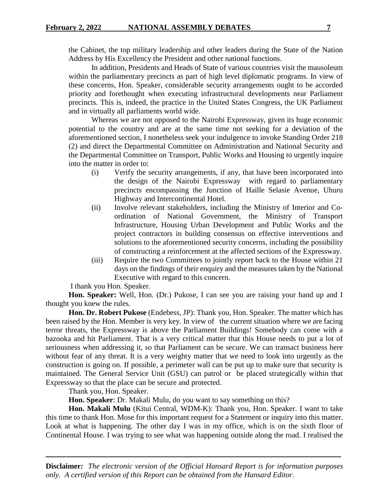the Cabinet, the top military leadership and other leaders during the State of the Nation Address by His Excellency the President and other national functions.

In addition, Presidents and Heads of State of various countries visit the mausoleum within the parliamentary precincts as part of high level diplomatic programs. In view of these concerns, Hon. Speaker, considerable security arrangements ought to be accorded priority and forethought when executing infrastructural developments near Parliament precincts. This is, indeed, the practice in the United States Congress, the UK Parliament and in virtually all parliaments world wide.

Whereas we are not opposed to the Nairobi Expressway, given its huge economic potential to the country and are at the same time not seeking for a deviation of the aforementioned section, I nonetheless seek your indulgence to invoke Standing Order 218 (2) and direct the Departmental Committee on Administration and National Security and the Departmental Committee on Transport, Public Works and Housing to urgently inquire into the matter in order to:

- (i) Verify the security arrangements, if any, that have been incorporated into the design of the Nairobi Expressway with regard to parliamentary precincts encompassing the Junction of Haille Selasie Avenue, Uhuru Highway and Intercontinental Hotel.
- (ii) Involve relevant stakeholders, including the Ministry of Interior and Coordination of National Government, the Ministry of Transport Infrastructure, Housing Urban Development and Public Works and the project contractors in building consensus on effective interventions and solutions to the aforementioned security concerns, including the possibility of constructing a reinforcement at the affected sections of the Expressway.
- (iii) Require the two Committees to jointly report back to the House within 21 days on the findings of their enquiry and the measures taken by the National Executive with regard to this concern.

I thank you Hon. Speaker.

**Hon. Speaker:** Well, Hon. (Dr.) Pukose, I can see you are raising your hand up and I thought you knew the rules.

**Hon. Dr. Robert Pukose** (Endebess, JP): Thank you, Hon. Speaker. The matter which has been raised by the Hon. Member is very key. In view of the current situation where we are facing terror threats, the Expressway is above the Parliament Buildings! Somebody can come with a bazooka and hit Parliament. That is a very critical matter that this House needs to put a lot of seriousness when addressing it, so that Parliament can be secure. We can transact business here without fear of any threat. It is a very weighty matter that we need to look into urgently as the construction is going on. If possible, a perimeter wall can be put up to make sure that security is maintained. The General Service Unit (GSU) can patrol or be placed strategically within that Expressway so that the place can be secure and protected.

Thank you, Hon. Speaker.

**Hon. Speaker**: Dr. Makali Mulu, do you want to say something on this?

**Hon. Makali Mulu** (Kitui Central, WDM-K): Thank you, Hon. Speaker. I want to take this time to thank Hon. Mose for this important request for a Statement or inquiry into this matter. Look at what is happening. The other day I was in my office, which is on the sixth floor of Continental House. I was trying to see what was happening outside along the road. I realised the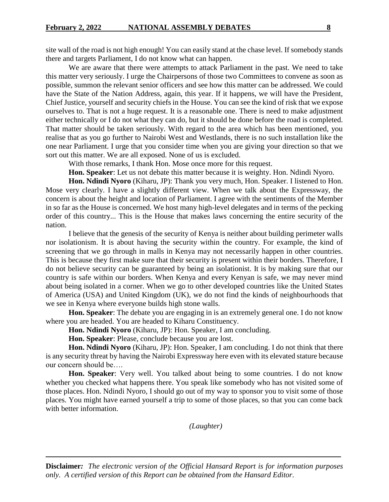site wall of the road is not high enough! You can easily stand at the chase level. If somebody stands there and targets Parliament, I do not know what can happen.

We are aware that there were attempts to attack Parliament in the past. We need to take this matter very seriously. I urge the Chairpersons of those two Committees to convene as soon as possible, summon the relevant senior officers and see how this matter can be addressed. We could have the State of the Nation Address, again, this year. If it happens, we will have the President, Chief Justice, yourself and security chiefs in the House. You can see the kind of risk that we expose ourselves to. That is not a huge request. It is a reasonable one. There is need to make adjustment either technically or I do not what they can do, but it should be done before the road is completed. That matter should be taken seriously. With regard to the area which has been mentioned, you realise that as you go further to Nairobi West and Westlands, there is no such installation like the one near Parliament. I urge that you consider time when you are giving your direction so that we sort out this matter. We are all exposed. None of us is excluded.

With those remarks, I thank Hon. Mose once more for this request.

**Hon. Speaker**: Let us not debate this matter because it is weighty. Hon. Ndindi Nyoro.

**Hon. Ndindi Nyoro** (Kiharu, JP): Thank you very much, Hon. Speaker. I listened to Hon. Mose very clearly. I have a slightly different view. When we talk about the Expressway, the concern is about the height and location of Parliament. I agree with the sentiments of the Member in so far as the House is concerned. We host many high-level delegates and in terms of the pecking order of this country... This is the House that makes laws concerning the entire security of the nation.

I believe that the genesis of the security of Kenya is neither about building perimeter walls nor isolationism. It is about having the security within the country. For example, the kind of screening that we go through in malls in Kenya may not necessarily happen in other countries. This is because they first make sure that their security is present within their borders. Therefore, I do not believe security can be guaranteed by being an isolationist. It is by making sure that our country is safe within our borders. When Kenya and every Kenyan is safe, we may never mind about being isolated in a corner. When we go to other developed countries like the United States of America (USA) and United Kingdom (UK), we do not find the kinds of neighbourhoods that we see in Kenya where everyone builds high stone walls.

**Hon. Speaker**: The debate you are engaging in is an extremely general one. I do not know where you are headed. You are headed to Kiharu Constituency.

**Hon. Ndindi Nyoro** (Kiharu, JP): Hon. Speaker, I am concluding.

**Hon. Speaker**: Please, conclude because you are lost.

**Hon. Ndindi Nyoro** (Kiharu, JP): Hon. Speaker, I am concluding. I do not think that there is any security threat by having the Nairobi Expressway here even with its elevated stature because our concern should be….

**Hon. Speaker**: Very well. You talked about being to some countries. I do not know whether you checked what happens there. You speak like somebody who has not visited some of those places. Hon. Ndindi Nyoro, I should go out of my way to sponsor you to visit some of those places. You might have earned yourself a trip to some of those places, so that you can come back with better information.

*(Laughter)*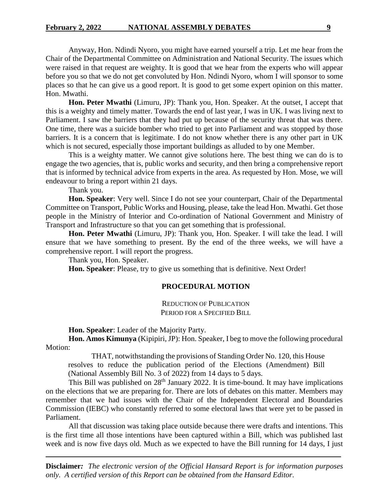Anyway, Hon. Ndindi Nyoro, you might have earned yourself a trip. Let me hear from the Chair of the Departmental Committee on Administration and National Security. The issues which were raised in that request are weighty. It is good that we hear from the experts who will appear before you so that we do not get convoluted by Hon. Ndindi Nyoro, whom I will sponsor to some places so that he can give us a good report. It is good to get some expert opinion on this matter. Hon. Mwathi.

**Hon. Peter Mwathi** (Limuru, JP): Thank you, Hon. Speaker. At the outset, I accept that this is a weighty and timely matter. Towards the end of last year, I was in UK. I was living next to Parliament. I saw the barriers that they had put up because of the security threat that was there. One time, there was a suicide bomber who tried to get into Parliament and was stopped by those barriers. It is a concern that is legitimate. I do not know whether there is any other part in UK which is not secured, especially those important buildings as alluded to by one Member.

This is a weighty matter. We cannot give solutions here. The best thing we can do is to engage the two agencies, that is, public works and security, and then bring a comprehensive report that is informed by technical advice from experts in the area. As requested by Hon. Mose, we will endeavour to bring a report within 21 days.

Thank you.

**Hon. Speaker**: Very well. Since I do not see your counterpart, Chair of the Departmental Committee on Transport, Public Works and Housing, please, take the lead Hon. Mwathi. Get those people in the Ministry of Interior and Co-ordination of National Government and Ministry of Transport and Infrastructure so that you can get something that is professional.

**Hon. Peter Mwathi** (Limuru, JP): Thank you, Hon. Speaker. I will take the lead. I will ensure that we have something to present. By the end of the three weeks, we will have a comprehensive report. I will report the progress.

Thank you, Hon. Speaker.

**Hon. Speaker**: Please, try to give us something that is definitive. Next Order!

#### **PROCEDURAL MOTION**

REDUCTION OF PUBLICATION PERIOD FOR A SPECIFIED BILL

**Hon. Speaker**: Leader of the Majority Party.

**Hon. Amos Kimunya** (Kipipiri, JP): Hon. Speaker, I beg to move the following procedural Motion:

THAT, notwithstanding the provisions of Standing Order No. 120, this House resolves to reduce the publication period of the Elections (Amendment) Bill (National Assembly Bill No. 3 of 2022) from 14 days to 5 days.

This Bill was published on  $28<sup>th</sup>$  January 2022. It is time-bound. It may have implications on the elections that we are preparing for. There are lots of debates on this matter. Members may remember that we had issues with the Chair of the Independent Electoral and Boundaries Commission (IEBC) who constantly referred to some electoral laws that were yet to be passed in Parliament.

All that discussion was taking place outside because there were drafts and intentions. This is the first time all those intentions have been captured within a Bill, which was published last week and is now five days old. Much as we expected to have the Bill running for 14 days, I just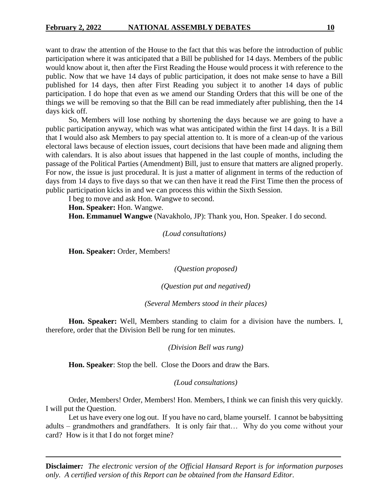want to draw the attention of the House to the fact that this was before the introduction of public participation where it was anticipated that a Bill be published for 14 days. Members of the public would know about it, then after the First Reading the House would process it with reference to the public. Now that we have 14 days of public participation, it does not make sense to have a Bill published for 14 days, then after First Reading you subject it to another 14 days of public participation. I do hope that even as we amend our Standing Orders that this will be one of the things we will be removing so that the Bill can be read immediately after publishing, then the 14 days kick off.

So, Members will lose nothing by shortening the days because we are going to have a public participation anyway, which was what was anticipated within the first 14 days. It is a Bill that I would also ask Members to pay special attention to. It is more of a clean-up of the various electoral laws because of election issues, court decisions that have been made and aligning them with calendars. It is also about issues that happened in the last couple of months, including the passage of the Political Parties (Amendment) Bill, just to ensure that matters are aligned properly. For now, the issue is just procedural. It is just a matter of alignment in terms of the reduction of days from 14 days to five days so that we can then have it read the First Time then the process of public participation kicks in and we can process this within the Sixth Session.

I beg to move and ask Hon. Wangwe to second.

**Hon. Speaker:** Hon. Wangwe.

**Hon. Emmanuel Wangwe** (Navakholo, JP): Thank you, Hon. Speaker. I do second.

#### *(Loud consultations)*

**Hon. Speaker:** Order, Members!

*(Question proposed)*

*(Question put and negatived)*

*(Several Members stood in their places)*

**Hon. Speaker:** Well, Members standing to claim for a division have the numbers. I, therefore, order that the Division Bell be rung for ten minutes.

*(Division Bell was rung)*

**Hon. Speaker**: Stop the bell. Close the Doors and draw the Bars.

*(Loud consultations)*

Order, Members! Order, Members! Hon. Members, I think we can finish this very quickly. I will put the Question.

Let us have every one log out. If you have no card, blame yourself. I cannot be babysitting adults – grandmothers and grandfathers. It is only fair that… Why do you come without your card? How is it that I do not forget mine?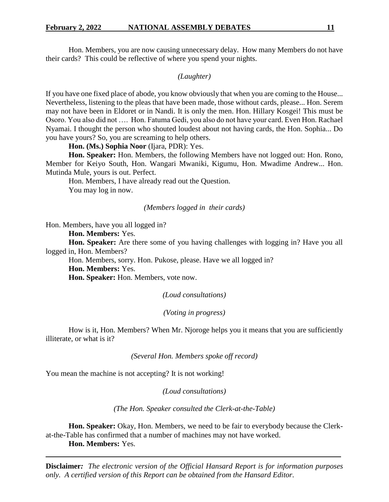Hon. Members, you are now causing unnecessary delay. How many Members do not have their cards? This could be reflective of where you spend your nights.

*(Laughter)*

If you have one fixed place of abode, you know obviously that when you are coming to the House... Nevertheless, listening to the pleas that have been made, those without cards, please... Hon. Serem may not have been in Eldoret or in Nandi. It is only the men. Hon. Hillary Kosgei! This must be Osoro. You also did not …. Hon. Fatuma Gedi, you also do not have your card. Even Hon. Rachael Nyamai. I thought the person who shouted loudest about not having cards, the Hon. Sophia... Do you have yours? So, you are screaming to help others.

**Hon. (Ms.) Sophia Noor** (Ijara, PDR): Yes.

**Hon. Speaker:** Hon. Members, the following Members have not logged out: Hon. Rono, Member for Keiyo South, Hon. Wangari Mwaniki, Kigumu, Hon. Mwadime Andrew... Hon. Mutinda Mule, yours is out. Perfect.

Hon. Members, I have already read out the Question. You may log in now.

*(Members logged in their cards)*

Hon. Members, have you all logged in?

**Hon. Members:** Yes.

**Hon. Speaker:** Are there some of you having challenges with logging in? Have you all logged in, Hon. Members?

Hon. Members, sorry. Hon. Pukose, please. Have we all logged in? **Hon. Members:** Yes.

**Hon. Speaker:** Hon. Members, vote now.

*(Loud consultations)*

*(Voting in progress)*

How is it, Hon. Members? When Mr. Njoroge helps you it means that you are sufficiently illiterate, or what is it?

*(Several Hon. Members spoke off record)*

You mean the machine is not accepting? It is not working!

*(Loud consultations)*

*(The Hon. Speaker consulted the Clerk-at-the-Table)*

**Hon. Speaker:** Okay, Hon. Members, we need to be fair to everybody because the Clerkat-the-Table has confirmed that a number of machines may not have worked.

**Hon. Members:** Yes.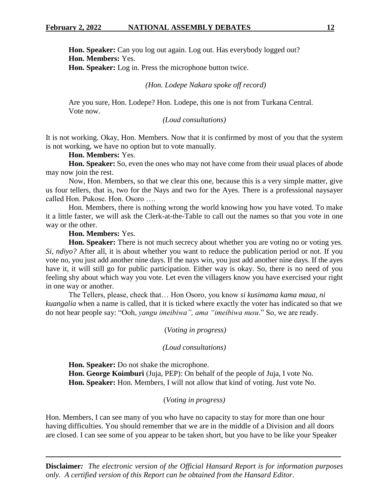**Hon. Speaker:** Can you log out again. Log out. Has everybody logged out? **Hon. Members:** Yes. **Hon. Speaker:** Log in. Press the microphone button twice.

#### *(Hon. Lodepe Nakara spoke off record)*

Are you sure, Hon. Lodepe? Hon. Lodepe, this one is not from Turkana Central. Vote now.

#### *(Loud consultations)*

It is not working. Okay, Hon. Members. Now that it is confirmed by most of you that the system is not working, we have no option but to vote manually.

## **Hon. Members:** Yes.

**Hon. Speaker:** So, even the ones who may not have come from their usual places of abode may now join the rest.

Now, Hon. Members, so that we clear this one, because this is a very simple matter, give us four tellers, that is, two for the Nays and two for the Ayes. There is a professional naysayer called Hon. Pukose. Hon. Osoro ….

Hon. Members, there is nothing wrong the world knowing how you have voted. To make it a little faster, we will ask the Clerk-at-the-Table to call out the names so that you vote in one way or the other.

## **Hon. Members:** Yes.

**Hon. Speaker:** There is not much secrecy about whether you are voting no or voting yes. *Si, ndiyo?* After all, it is about whether you want to reduce the publication period or not. If you vote no, you just add another nine days. If the nays win, you just add another nine days. If the ayes have it, it will still go for public participation. Either way is okay. So, there is no need of you feeling shy about which way you vote. Let even the villagers know you have exercised your right in one way or another.

The Tellers, please, check that… Hon Osoro, you know *si kusimama kama maua, ni kuangalia* when a name is called, that it is ticked where exactly the voter has indicated so that we do not hear people say: "Ooh, *yangu imeibiwa", ama "imeibiwa nusu*." So, we are ready.

(*Voting in progress)*

#### *(Loud consultations)*

**Hon. Speaker:** Do not shake the microphone. **Hon. George Koimburi** (Juja, PEP): On behalf of the people of Juja, I vote No. **Hon. Speaker:** Hon. Members, I will not allow that kind of voting. Just vote No.

#### (*Voting in progress)*

Hon. Members, I can see many of you who have no capacity to stay for more than one hour having difficulties. You should remember that we are in the middle of a Division and all doors are closed. I can see some of you appear to be taken short, but you have to be like your Speaker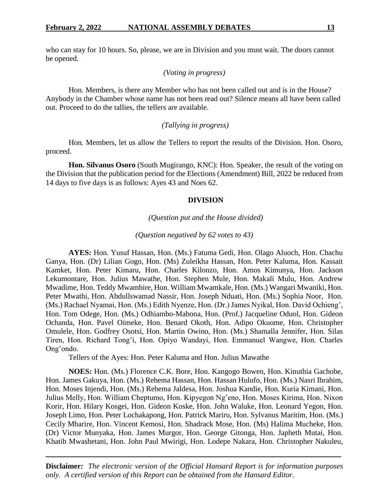who can stay for 10 hours. So, please, we are in Division and you must wait. The doors cannot be opened.

*(Voting in progress)*

Hon. Members, is there any Member who has not been called out and is in the House? Anybody in the Chamber whose name has not been read out? Silence means all have been called out. Proceed to do the tallies, the tellers are available.

## *(Tallying in progress)*

Hon. Members, let us allow the Tellers to report the results of the Division. Hon. Osoro, proceed.

**Hon. Silvanus Osoro** (South Mugirango, KNC): Hon. Speaker, the result of the voting on the Division that the publication period for the Elections (Amendment) Bill, 2022 be reduced from 14 days to five days is as follows: Ayes 43 and Noes 62.

#### **DIVISION**

#### *(Question put and the House divided)*

#### *(Question negatived by 62 votes to 43)*

**AYES:** Hon. Yusuf Hassan, Hon. (Ms.) Fatuma Gedi, Hon. Olago Aluoch, Hon. Chachu Ganya, Hon. (Dr) Lilian Gogo, Hon. (Ms) Zuleikha Hassan, Hon. Peter Kaluma, Hon. Kassait Kamket, Hon. Peter Kimaru, Hon. Charles Kilonzo, Hon. Amos Kimunya, Hon. Jackson Lekumontare, Hon. Julius Mawathe, Hon. Stephen Mule, Hon. Makali Mulu, Hon. Andrew Mwadime, Hon. Teddy Mwambire, Hon. William Mwamkale, Hon. (Ms.) Wangari Mwaniki, Hon. Peter Mwathi, Hon. Abdullswamad Nassir, Hon. Joseph Nduati, Hon. (Ms.) Sophia Noor, Hon. (Ms.) Rachael Nyamai, Hon. (Ms.) Edith Nyenze, Hon. (Dr.) James Nyikal, Hon. David Ochieng', Hon. Tom Odege, Hon. (Ms.) Odhiambo-Mabona, Hon. (Prof.) Jacqueline Oduol, Hon. Gideon Ochanda, Hon. Pavel Oimeke, Hon. Benard Okoth, Hon. Adipo Okuome, Hon. Christopher Omulele, Hon. Godfrey Osotsi, Hon. Martin Owino, Hon. (Ms.) Shamalla Jennifer, Hon. Silas Tiren, Hon. Richard Tong'i, Hon. Opiyo Wandayi, Hon. Emmanuel Wangwe, Hon. Charles Ong'ondo.

Tellers of the Ayes: Hon. Peter Kaluma and Hon. Julius Mawathe

**NOES:** Hon. (Ms.) Florence C.K. Bore, Hon. Kangogo Bowen, Hon. Kinuthia Gachobe, Hon. James Gakuya, Hon. (Ms.) Rehema Hassan, Hon. Hassan Hulufo, Hon. (Ms.) Nasri Ibrahim, Hon. Moses Injendi, Hon. (Ms.) Rehema Jaldesa, Hon. Joshua Kandie, Hon. Kuria Kimani, Hon. Julius Melly, Hon. William Cheptumo, Hon. Kipyegon Ng'eno, Hon. Moses Kirima, Hon. Nixon Korir, Hon. Hilary Kosgei, Hon. Gideon Koske, Hon. John Waluke, Hon. Leonard Yegon, Hon. Joseph Limo, Hon. Peter Lochakapong, Hon. Patrick Mariru, Hon. Sylvanus Maritim, Hon. (Ms.) Cecily Mbarire, Hon. Vincent Kemosi, Hon. Shadrack Mose, Hon. (Ms) Halima Mucheke, Hon. (Dr) Victor Munyaka, Hon. James Murgor, Hon. George Gitonga, Hon. Japheth Mutai, Hon. Khatib Mwashetani, Hon. John Paul Mwirigi, Hon. Lodepe Nakara, Hon. Christopher Nakuleu,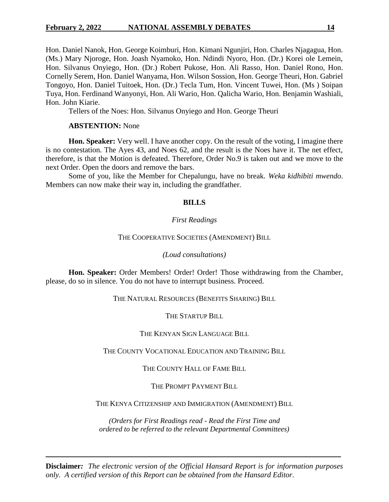## **February 2, 2022 NATIONAL ASSEMBLY DEBATES 14**

Hon. Daniel Nanok, Hon. George Koimburi, Hon. Kimani Ngunjiri, Hon. Charles Njagagua, Hon. (Ms.) Mary Njoroge, Hon. Joash Nyamoko, Hon. Ndindi Nyoro, Hon. (Dr.) Korei ole Lemein, Hon. Silvanus Onyiego, Hon. (Dr.) Robert Pukose, Hon. Ali Rasso, Hon. Daniel Rono, Hon. Cornelly Serem, Hon. Daniel Wanyama, Hon. Wilson Sossion, Hon. George Theuri, Hon. Gabriel Tongoyo, Hon. Daniel Tuitoek, Hon. (Dr.) Tecla Tum, Hon. Vincent Tuwei, Hon. (Ms ) Soipan Tuya, Hon. Ferdinand Wanyonyi, Hon. Ali Wario, Hon. Qalicha Wario, Hon. Benjamin Washiali, Hon. John Kiarie.

Tellers of the Noes: Hon. Silvanus Onyiego and Hon. George Theuri

## **ABSTENTION:** None

**Hon. Speaker:** Very well. I have another copy. On the result of the voting, I imagine there is no contestation. The Ayes 43, and Noes 62, and the result is the Noes have it. The net effect, therefore, is that the Motion is defeated. Therefore, Order No.9 is taken out and we move to the next Order. Open the doors and remove the bars.

Some of you, like the Member for Chepalungu, have no break. *Weka kidhibiti mwendo*. Members can now make their way in, including the grandfather.

## **BILLS**

## *First Readings*

## THE COOPERATIVE SOCIETIES (AMENDMENT) BILL

## *(Loud consultations)*

**Hon. Speaker:** Order Members! Order! Order! Those withdrawing from the Chamber, please, do so in silence. You do not have to interrupt business. Proceed.

THE NATURAL RESOURCES (BENEFITS SHARING) BILL

THE STARTUP BILL

## THE KENYAN SIGN LANGUAGE BILL

THE COUNTY VOCATIONAL EDUCATION AND TRAINING BILL

## THE COUNTY HALL OF FAME BILL

THE PROMPT PAYMENT BILL

THE KENYA CITIZENSHIP AND IMMIGRATION (AMENDMENT) BILL

*(Orders for First Readings read - Read the First Time and ordered to be referred to the relevant Departmental Committees)*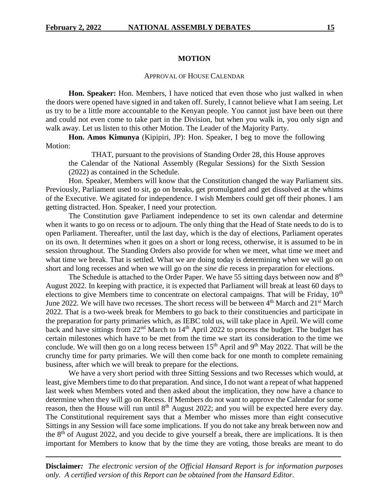#### **MOTION**

#### APPROVAL OF HOUSE CALENDAR

**Hon. Speaker:** Hon. Members, I have noticed that even those who just walked in when the doors were opened have signed in and taken off. Surely, I cannot believe what I am seeing. Let us try to be a little more accountable to the Kenyan people. You cannot just have been out there and could not even come to take part in the Division, but when you walk in, you only sign and walk away. Let us listen to this other Motion. The Leader of the Majority Party.

**Hon. Amos Kimunya** (Kipipiri, JP): Hon. Speaker, I beg to move the following Motion:

THAT, pursuant to the provisions of Standing Order 28, this House approves the Calendar of the National Assembly (Regular Sessions) for the Sixth Session (2022) as contained in the Schedule.

Hon. Speaker, Members will know that the Constitution changed the way Parliament sits. Previously, Parliament used to sit, go on breaks, get promulgated and get dissolved at the whims of the Executive. We agitated for independence. I wish Members could get off their phones. I am getting distracted. Hon. Speaker, I need your protection.

The Constitution gave Parliament independence to set its own calendar and determine when it wants to go on recess or to adjourn. The only thing that the Head of State needs to do is to open Parliament. Thereafter, until the last day, which is the day of elections, Parliament operates on its own. It determines when it goes on a short or long recess, otherwise, it is assumed to be in session throughout. The Standing Orders also provide for when we meet, what time we meet and what time we break. That is settled. What we are doing today is determining when we will go on short and long recesses and when we will go on the *sine die* recess in preparation for elections.

The Schedule is attached to the Order Paper. We have 55 sitting days between now and  $8<sup>th</sup>$ August 2022. In keeping with practice, it is expected that Parliament will break at least 60 days to elections to give Members time to concentrate on electoral campaigns. That will be Friday, 10<sup>th</sup> June 2022. We will have two recesses. The short recess will be between  $4<sup>th</sup>$  March and  $21<sup>st</sup>$  March 2022. That is a two-week break for Members to go back to their constituencies and participate in the preparation for party primaries which, as IEBC told us, will take place in April. We will come back and have sittings from  $22<sup>nd</sup>$  March to  $14<sup>th</sup>$  April 2022 to process the budget. The budget has certain milestones which have to be met from the time we start its consideration to the time we conclude. We will then go on a long recess between  $15<sup>th</sup>$  April and  $9<sup>th</sup>$  May 2022. That will be the crunchy time for party primaries. We will then come back for one month to complete remaining business, after which we will break to prepare for the elections.

We have a very short period with three Sitting Sessions and two Recesses which would, at least, give Members time to do that preparation. And since, I do not want a repeat of what happened last week when Members voted and then asked about the implication, they now have a chance to determine when they will go on Recess. If Members do not want to approve the Calendar for some reason, then the House will run until  $8<sup>th</sup>$  August 2022; and you will be expected here every day. The Constitutional requirement says that a Member who misses more than eight consecutive Sittings in any Session will face some implications. If you do not take any break between now and the  $8<sup>th</sup>$  of August 2022, and you decide to give yourself a break, there are implications. It is then important for Members to know that by the time they are voting, those breaks are meant to do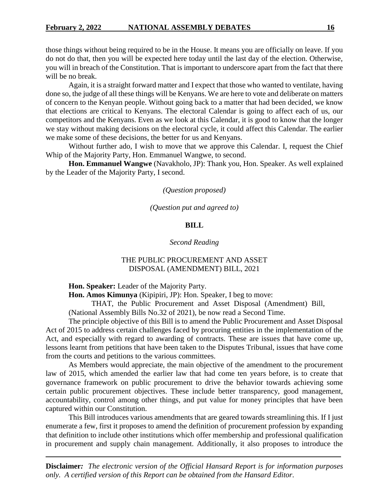those things without being required to be in the House. It means you are officially on leave. If you do not do that, then you will be expected here today until the last day of the election. Otherwise, you will in breach of the Constitution. That is important to underscore apart from the fact that there will be no break.

Again, it is a straight forward matter and I expect that those who wanted to ventilate, having done so, the judge of all these things will be Kenyans. We are here to vote and deliberate on matters of concern to the Kenyan people. Without going back to a matter that had been decided, we know that elections are critical to Kenyans. The electoral Calendar is going to affect each of us, our competitors and the Kenyans. Even as we look at this Calendar, it is good to know that the longer we stay without making decisions on the electoral cycle, it could affect this Calendar. The earlier we make some of these decisions, the better for us and Kenyans.

Without further ado, I wish to move that we approve this Calendar. I, request the Chief Whip of the Majority Party, Hon. Emmanuel Wangwe, to second.

**Hon. Emmanuel Wangwe** (Navakholo, JP): Thank you, Hon. Speaker. As well explained by the Leader of the Majority Party, I second.

*(Question proposed)*

*(Question put and agreed to)*

## **BILL**

#### *Second Reading*

## THE PUBLIC PROCUREMENT AND ASSET DISPOSAL (AMENDMENT) BILL, 2021

**Hon. Speaker:** Leader of the Majority Party.

**Hon. Amos Kimunya** (Kipipiri, JP): Hon. Speaker, I beg to move:

THAT, the Public Procurement and Asset Disposal (Amendment) Bill,

(National Assembly Bills No.32 of 2021), be now read a Second Time.

The principle objective of this Bill is to amend the Public Procurement and Asset Disposal Act of 2015 to address certain challenges faced by procuring entities in the implementation of the Act, and especially with regard to awarding of contracts. These are issues that have come up, lessons learnt from petitions that have been taken to the Disputes Tribunal, issues that have come from the courts and petitions to the various committees.

As Members would appreciate, the main objective of the amendment to the procurement law of 2015, which amended the earlier law that had come ten years before, is to create that governance framework on public procurement to drive the behavior towards achieving some certain public procurement objectives. These include better transparency, good management, accountability, control among other things, and put value for money principles that have been captured within our Constitution.

This Bill introduces various amendments that are geared towards streamlining this. If I just enumerate a few, first it proposes to amend the definition of procurement profession by expanding that definition to include other institutions which offer membership and professional qualification in procurement and supply chain management. Additionally, it also proposes to introduce the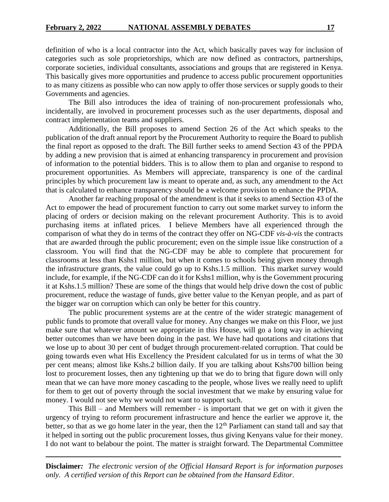definition of who is a local contractor into the Act, which basically paves way for inclusion of categories such as sole proprietorships, which are now defined as contractors, partnerships, corporate societies, individual consultants, associations and groups that are registered in Kenya. This basically gives more opportunities and prudence to access public procurement opportunities to as many citizens as possible who can now apply to offer those services or supply goods to their Governments and agencies.

The Bill also introduces the idea of training of non-procurement professionals who, incidentally, are involved in procurement processes such as the user departments, disposal and contract implementation teams and suppliers.

Additionally, the Bill proposes to amend Section 26 of the Act which speaks to the publication of the draft annual report by the Procurement Authority to require the Board to publish the final report as opposed to the draft. The Bill further seeks to amend Section 43 of the PPDA by adding a new provision that is aimed at enhancing transparency in procurement and provision of information to the potential bidders. This is to allow them to plan and organise to respond to procurement opportunities. As Members will appreciate, transparency is one of the cardinal principles by which procurement law is meant to operate and, as such, any amendment to the Act that is calculated to enhance transparency should be a welcome provision to enhance the PPDA.

Another far reaching proposal of the amendment is that it seeks to amend Section 43 of the Act to empower the head of procurement function to carry out some market survey to inform the placing of orders or decision making on the relevant procurement Authority. This is to avoid purchasing items at inflated prices. I believe Members have all experienced through the comparison of what they do in terms of the contract they offer on NG-CDF *vis-à-vis* the contracts that are awarded through the public procurement; even on the simple issue like construction of a classroom. You will find that the NG-CDF may be able to complete that procurement for classrooms at less than Kshs1 million, but when it comes to schools being given money through the infrastructure grants, the value could go up to Kshs.1.5 million. This market survey would include, for example, if the NG-CDF can do it for Kshs1 million, why is the Government procuring it at Kshs.1.5 million? These are some of the things that would help drive down the cost of public procurement, reduce the wastage of funds, give better value to the Kenyan people, and as part of the bigger war on corruption which can only be better for this country.

The public procurement systems are at the centre of the wider strategic management of public funds to promote that overall value for money. Any changes we make on this Floor, we just make sure that whatever amount we appropriate in this House, will go a long way in achieving better outcomes than we have been doing in the past. We have had quotations and citations that we lose up to about 30 per cent of budget through procurement-related corruption. That could be going towards even what His Excellency the President calculated for us in terms of what the 30 per cent means; almost like Kshs.2 billion daily. If you are talking about Kshs700 billion being lost to procurement losses, then any tightening up that we do to bring that figure down will only mean that we can have more money cascading to the people, whose lives we really need to uplift for them to get out of poverty through the social investment that we make by ensuring value for money. I would not see why we would not want to support such.

This Bill – and Members will remember - is important that we get on with it given the urgency of trying to reform procurement infrastructure and hence the earlier we approve it, the better, so that as we go home later in the year, then the  $12<sup>th</sup>$  Parliament can stand tall and say that it helped in sorting out the public procurement losses, thus giving Kenyans value for their money. I do not want to belabour the point. The matter is straight forward. The Departmental Committee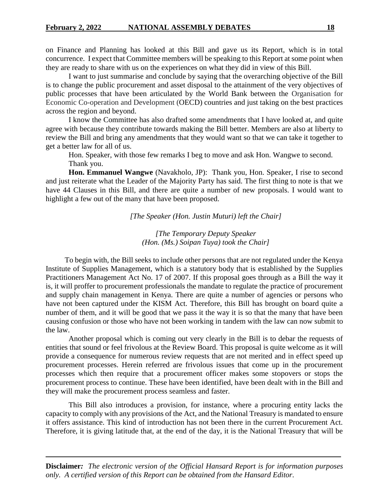on Finance and Planning has looked at this Bill and gave us its Report, which is in total concurrence. I expect that Committee members will be speaking to this Report at some point when they are ready to share with us on the experiences on what they did in view of this Bill.

I want to just summarise and conclude by saying that the overarching objective of the Bill is to change the public procurement and asset disposal to the attainment of the very objectives of public processes that have been articulated by the World Bank between the Organisation for Economic Co-operation and Development (OECD) countries and just taking on the best practices across the region and beyond.

I know the Committee has also drafted some amendments that I have looked at, and quite agree with because they contribute towards making the Bill better. Members are also at liberty to review the Bill and bring any amendments that they would want so that we can take it together to get a better law for all of us.

Hon. Speaker, with those few remarks I beg to move and ask Hon. Wangwe to second. Thank you.

**Hon. Emmanuel Wangwe** (Navakholo, JP): Thank you, Hon. Speaker, I rise to second and just reiterate what the Leader of the Majority Party has said. The first thing to note is that we have 44 Clauses in this Bill, and there are quite a number of new proposals. I would want to highlight a few out of the many that have been proposed.

*[The Speaker (Hon. Justin Muturi) left the Chair]*

*[The Temporary Deputy Speaker (Hon. (Ms.) Soipan Tuya) took the Chair]*

 To begin with, the Bill seeks to include other persons that are not regulated under the Kenya Institute of Supplies Management, which is a statutory body that is established by the Supplies Practitioners Management Act No. 17 of 2007. If this proposal goes through as a Bill the way it is, it will proffer to procurement professionals the mandate to regulate the practice of procurement and supply chain management in Kenya. There are quite a number of agencies or persons who have not been captured under the KISM Act. Therefore, this Bill has brought on board quite a number of them, and it will be good that we pass it the way it is so that the many that have been causing confusion or those who have not been working in tandem with the law can now submit to the law.

Another proposal which is coming out very clearly in the Bill is to debar the requests of entities that sound or feel frivolous at the Review Board. This proposal is quite welcome as it will provide a consequence for numerous review requests that are not merited and in effect speed up procurement processes. Herein referred are frivolous issues that come up in the procurement processes which then require that a procurement officer makes some stopovers or stops the procurement process to continue. These have been identified, have been dealt with in the Bill and they will make the procurement process seamless and faster.

This Bill also introduces a provision, for instance, where a procuring entity lacks the capacity to comply with any provisions of the Act, and the National Treasury is mandated to ensure it offers assistance. This kind of introduction has not been there in the current Procurement Act. Therefore, it is giving latitude that, at the end of the day, it is the National Treasury that will be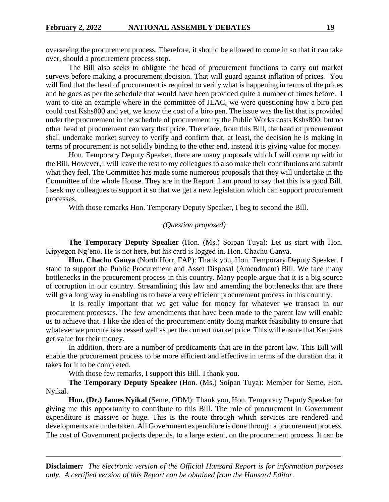overseeing the procurement process. Therefore, it should be allowed to come in so that it can take over, should a procurement process stop.

The Bill also seeks to obligate the head of procurement functions to carry out market surveys before making a procurement decision. That will guard against inflation of prices. You will find that the head of procurement is required to verify what is happening in terms of the prices and he goes as per the schedule that would have been provided quite a number of times before. I want to cite an example where in the committee of JLAC, we were questioning how a biro pen could cost Kshs800 and yet, we know the cost of a biro pen. The issue was the list that is provided under the procurement in the schedule of procurement by the Public Works costs Kshs800; but no other head of procurement can vary that price. Therefore, from this Bill, the head of procurement shall undertake market survey to verify and confirm that, at least, the decision he is making in terms of procurement is not solidly binding to the other end, instead it is giving value for money.

Hon. Temporary Deputy Speaker, there are many proposals which I will come up with in the Bill. However, I will leave the rest to my colleagues to also make their contributions and submit what they feel. The Committee has made some numerous proposals that they will undertake in the Committee of the whole House. They are in the Report. I am proud to say that this is a good Bill. I seek my colleagues to support it so that we get a new legislation which can support procurement processes.

With those remarks Hon. Temporary Deputy Speaker, I beg to second the Bill.

#### *(Question proposed)*

**The Temporary Deputy Speaker** (Hon. (Ms.) Soipan Tuya): Let us start with Hon. Kipyegon Ng'eno. He is not here, but his card is logged in. Hon. Chachu Ganya.

**Hon. Chachu Ganya** (North Horr, FAP): Thank you, Hon. Temporary Deputy Speaker. I stand to support the Public Procurement and Asset Disposal (Amendment) Bill. We face many bottlenecks in the procurement process in this country. Many people argue that it is a big source of corruption in our country. Streamlining this law and amending the bottlenecks that are there will go a long way in enabling us to have a very efficient procurement process in this country.

It is really important that we get value for money for whatever we transact in our procurement processes. The few amendments that have been made to the parent law will enable us to achieve that. I like the idea of the procurement entity doing market feasibility to ensure that whatever we procure is accessed well as per the current market price. This will ensure that Kenyans get value for their money.

In addition, there are a number of predicaments that are in the parent law. This Bill will enable the procurement process to be more efficient and effective in terms of the duration that it takes for it to be completed.

With those few remarks, I support this Bill. I thank you.

**The Temporary Deputy Speaker** (Hon. (Ms.) Soipan Tuya): Member for Seme, Hon. Nyikal.

**Hon. (Dr.) James Nyikal** (Seme, ODM): Thank you, Hon. Temporary Deputy Speaker for giving me this opportunity to contribute to this Bill. The role of procurement in Government expenditure is massive or huge. This is the route through which services are rendered and developments are undertaken. All Government expenditure is done through a procurement process. The cost of Government projects depends, to a large extent, on the procurement process. It can be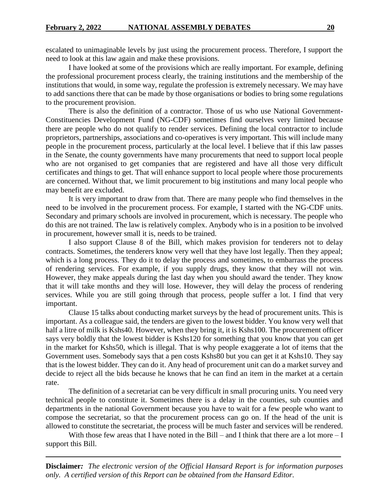escalated to unimaginable levels by just using the procurement process. Therefore, I support the need to look at this law again and make these provisions.

I have looked at some of the provisions which are really important. For example, defining the professional procurement process clearly, the training institutions and the membership of the institutions that would, in some way, regulate the profession is extremely necessary. We may have to add sanctions there that can be made by those organisations or bodies to bring some regulations to the procurement provision.

There is also the definition of a contractor. Those of us who use National Government-Constituencies Development Fund (NG-CDF) sometimes find ourselves very limited because there are people who do not qualify to render services. Defining the local contractor to include proprietors, partnerships, associations and co-operatives is very important. This will include many people in the procurement process, particularly at the local level. I believe that if this law passes in the Senate, the county governments have many procurements that need to support local people who are not organised to get companies that are registered and have all those very difficult certificates and things to get. That will enhance support to local people where those procurements are concerned. Without that, we limit procurement to big institutions and many local people who may benefit are excluded.

It is very important to draw from that. There are many people who find themselves in the need to be involved in the procurement process. For example, I started with the NG-CDF units. Secondary and primary schools are involved in procurement, which is necessary. The people who do this are not trained. The law is relatively complex. Anybody who is in a position to be involved in procurement, however small it is, needs to be trained.

I also support Clause 8 of the Bill, which makes provision for tenderers not to delay contracts. Sometimes, the tenderers know very well that they have lost legally. Then they appeal; which is a long process. They do it to delay the process and sometimes, to embarrass the process of rendering services. For example, if you supply drugs, they know that they will not win. However, they make appeals during the last day when you should award the tender. They know that it will take months and they will lose. However, they will delay the process of rendering services. While you are still going through that process, people suffer a lot. I find that very important.

Clause 15 talks about conducting market surveys by the head of procurement units. This is important. As a colleague said, the tenders are given to the lowest bidder. You know very well that half a litre of milk is Kshs40. However, when they bring it, it is Kshs100. The procurement officer says very boldly that the lowest bidder is Kshs120 for something that you know that you can get in the market for Kshs50, which is illegal. That is why people exaggerate a lot of items that the Government uses. Somebody says that a pen costs Kshs80 but you can get it at Kshs10. They say that is the lowest bidder. They can do it. Any head of procurement unit can do a market survey and decide to reject all the bids because he knows that he can find an item in the market at a certain rate.

The definition of a secretariat can be very difficult in small procuring units. You need very technical people to constitute it. Sometimes there is a delay in the counties, sub counties and departments in the national Government because you have to wait for a few people who want to compose the secretariat, so that the procurement process can go on. If the head of the unit is allowed to constitute the secretariat, the process will be much faster and services will be rendered.

With those few areas that I have noted in the Bill – and I think that there are a lot more  $-I$ support this Bill.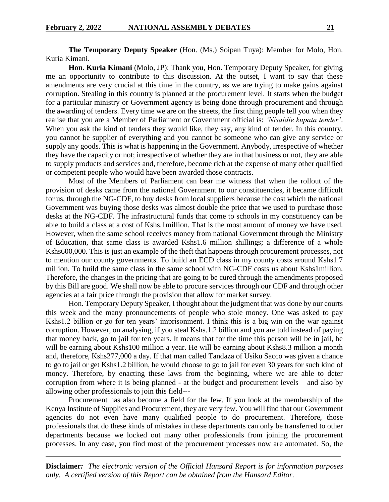**The Temporary Deputy Speaker** (Hon. (Ms.) Soipan Tuya): Member for Molo, Hon. Kuria Kimani.

**Hon. Kuria Kimani** (Molo, JP): Thank you, Hon. Temporary Deputy Speaker, for giving me an opportunity to contribute to this discussion. At the outset, I want to say that these amendments are very crucial at this time in the country, as we are trying to make gains against corruption. Stealing in this country is planned at the procurement level. It starts when the budget for a particular ministry or Government agency is being done through procurement and through the awarding of tenders. Every time we are on the streets, the first thing people tell you when they realise that you are a Member of Parliament or Government official is: *'Nisaidie kupata tender'*. When you ask the kind of tenders they would like, they say, any kind of tender. In this country, you cannot be supplier of everything and you cannot be someone who can give any service or supply any goods. This is what is happening in the Government. Anybody, irrespective of whether they have the capacity or not; irrespective of whether they are in that business or not, they are able to supply products and services and, therefore, become rich at the expense of many other qualified or competent people who would have been awarded those contracts.

Most of the Members of Parliament can bear me witness that when the rollout of the provision of desks came from the national Government to our constituencies, it became difficult for us, through the NG-CDF, to buy desks from local suppliers because the cost which the national Government was buying those desks was almost double the price that we used to purchase those desks at the NG-CDF. The infrastructural funds that come to schools in my constituency can be able to build a class at a cost of Kshs.1million. That is the most amount of money we have used. However, when the same school receives money from national Government through the Ministry of Education, that same class is awarded Kshs1.6 million shillings; a difference of a whole Kshs600,000. This is just an example of the theft that happens through procurement processes, not to mention our county governments. To build an ECD class in my county costs around Kshs1.7 million. To build the same class in the same school with NG-CDF costs us about Kshs1million. Therefore, the changes in the pricing that are going to be cured through the amendments proposed by this Bill are good. We shall now be able to procure services through our CDF and through other agencies at a fair price through the provision that allow for market survey.

Hon. Temporary Deputy Speaker, I thought about the judgment that was done by our courts this week and the many pronouncements of people who stole money. One was asked to pay Kshs1.2 billion or go for ten years' imprisonment. I think this is a big win on the war against corruption. However, on analysing, if you steal Kshs.1.2 billion and you are told instead of paying that money back, go to jail for ten years. It means that for the time this person will be in jail, he will be earning about Kshs100 million a year. He will be earning about Kshs8.3 million a month and, therefore, Kshs277,000 a day. If that man called Tandaza of Usiku Sacco was given a chance to go to jail or get Kshs1.2 billion, he would choose to go to jail for even 30 years for such kind of money. Therefore, by enacting these laws from the beginning, where we are able to deter corruption from where it is being planned - at the budget and procurement levels – and also by allowing other professionals to join this field---

Procurement has also become a field for the few. If you look at the membership of the Kenya Institute of Supplies and Procurement, they are very few. You will find that our Government agencies do not even have many qualified people to do procurement. Therefore, those professionals that do these kinds of mistakes in these departments can only be transferred to other departments because we locked out many other professionals from joining the procurement processes. In any case, you find most of the procurement processes now are automated. So, the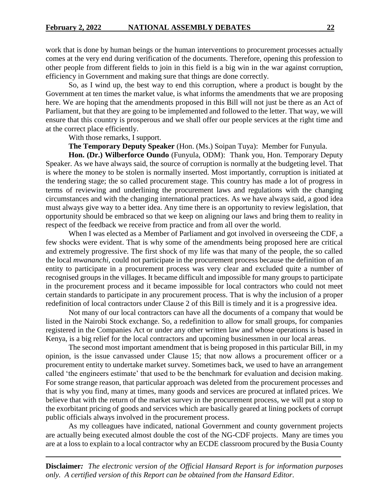work that is done by human beings or the human interventions to procurement processes actually comes at the very end during verification of the documents. Therefore, opening this profession to other people from different fields to join in this field is a big win in the war against corruption, efficiency in Government and making sure that things are done correctly.

So, as I wind up, the best way to end this corruption, where a product is bought by the Government at ten times the market value, is what informs the amendments that we are proposing here. We are hoping that the amendments proposed in this Bill will not just be there as an Act of Parliament, but that they are going to be implemented and followed to the letter. That way, we will ensure that this country is prosperous and we shall offer our people services at the right time and at the correct place efficiently.

With those remarks, I support.

**The Temporary Deputy Speaker** (Hon. (Ms.) Soipan Tuya):Member for Funyula.

**Hon. (Dr.) Wilberforce Oundo** (Funyula, ODM): Thank you, Hon. Temporary Deputy Speaker. As we have always said, the source of corruption is normally at the budgeting level. That is where the money to be stolen is normally inserted. Most importantly, corruption is initiated at the tendering stage; the so called procurement stage. This country has made a lot of progress in terms of reviewing and underlining the procurement laws and regulations with the changing circumstances and with the changing international practices. As we have always said, a good idea must always give way to a better idea. Any time there is an opportunity to review legislation, that opportunity should be embraced so that we keep on aligning our laws and bring them to reality in respect of the feedback we receive from practice and from all over the world.

When I was elected as a Member of Parliament and got involved in overseeing the CDF, a few shocks were evident. That is why some of the amendments being proposed here are critical and extremely progressive. The first shock of my life was that many of the people, the so called the local *mwananchi,* could not participate in the procurement process because the definition of an entity to participate in a procurement process was very clear and excluded quite a number of recognised groups in the villages. It became difficult and impossible for many groups to participate in the procurement process and it became impossible for local contractors who could not meet certain standards to participate in any procurement process. That is why the inclusion of a proper redefinition of local contractors under Clause 2 of this Bill is timely and it is a progressive idea.

Not many of our local contractors can have all the documents of a company that would be listed in the Nairobi Stock exchange. So, a redefinition to allow for small groups, for companies registered in the Companies Act or under any other written law and whose operations is based in Kenya, is a big relief for the local contractors and upcoming businessmen in our local areas.

The second most important amendment that is being proposed in this particular Bill, in my opinion, is the issue canvassed under Clause 15; that now allows a procurement officer or a procurement entity to undertake market survey. Sometimes back, we used to have an arrangement called 'the engineers estimate' that used to be the benchmark for evaluation and decision making. For some strange reason, that particular approach was deleted from the procurement processes and that is why you find, many at times, many goods and services are procured at inflated prices. We believe that with the return of the market survey in the procurement process, we will put a stop to the exorbitant pricing of goods and services which are basically geared at lining pockets of corrupt public officials always involved in the procurement process.

As my colleagues have indicated, national Government and county government projects are actually being executed almost double the cost of the NG-CDF projects. Many are times you are at a loss to explain to a local contractor why an ECDE classroom procured by the Busia County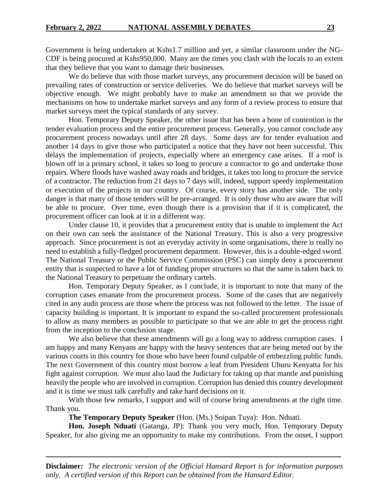Government is being undertaken at Kshs1.7 million and yet, a similar classroom under the NG-CDF is being procured at Kshs950,000. Many are the times you clash with the locals to an extent that they believe that you want to damage their businesses.

We do believe that with those market surveys, any procurement decision will be based on prevailing rates of construction or service deliveries. We do believe that market surveys will be objective enough. We might probably have to make an amendment so that we provide the mechanisms on how to undertake market surveys and any form of a review process to ensure that market surveys meet the typical standards of any survey.

Hon. Temporary Deputy Speaker, the other issue that has been a bone of contention is the tender evaluation process and the entire procurement process. Generally, you cannot conclude any procurement process nowadays until after 28 days. Some days are for tender evaluation and another 14 days to give those who participated a notice that they have not been successful. This delays the implementation of projects, especially where an emergency case arises. If a roof is blown off in a primary school, it takes so long to procure a contractor to go and undertake those repairs. Where floods have washed away roads and bridges, it takes too long to procure the service of a contractor. The reduction from 21 days to 7 days will, indeed, support speedy implementation or execution of the projects in our country. Of course, every story has another side. The only danger is that many of those tenders will be pre-arranged. It is only those who are aware that will be able to procure. Over time, even though there is a provision that if it is complicated, the procurement officer can look at it in a different way.

Under clause 10, it provides that a procurement entity that is unable to implement the Act on their own can seek the assistance of the National Treasury. This is also a very progressive approach. Since procurement is not an everyday activity in some organisations, there is really no need to establish a fully-fledged procurement department. However, this is a double-edged sword. The National Treasury or the Public Service Commission (PSC) can simply deny a procurement entity that is suspected to have a lot of funding proper structures so that the same is taken back to the National Treasury to perpetuate the ordinary cartels.

Hon. Temporary Deputy Speaker, as I conclude, it is important to note that many of the corruption cases emanate from the procurement process. Some of the cases that are negatively cited in any audit process are those where the process was not followed to the letter. The issue of capacity building is important. It is important to expand the so-called procurement professionals to allow as many members as possible to participate so that we are able to get the process right from the inception to the conclusion stage.

We also believe that these amendments will go a long way to address corruption cases. I am happy and many Kenyans are happy with the heavy sentences that are being meted out by the various courts in this country for those who have been found culpable of embezzling public funds. The next Government of this country must borrow a leaf from President Uhuru Kenyatta for his fight against corruption. We must also laud the Judiciary for taking up that mantle and punishing heavily the people who are involved in corruption. Corruption has denied this country development and it is time we must talk carefully and take hard decisions on it.

With those few remarks, I support and will of course bring amendments at the right time. Thank you.

**The Temporary Deputy Speaker** (Hon. (Ms.) Soipan Tuya): Hon. Nduati.

**Hon. Joseph Nduati** (Gatanga, JP): Thank you very much, Hon. Temporary Deputy Speaker, for also giving me an opportunity to make my contributions. From the onset, I support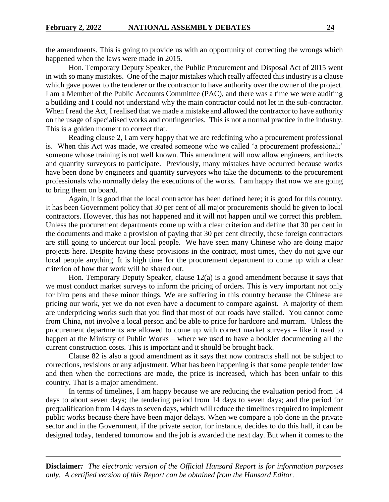the amendments. This is going to provide us with an opportunity of correcting the wrongs which happened when the laws were made in 2015.

Hon. Temporary Deputy Speaker, the Public Procurement and Disposal Act of 2015 went in with so many mistakes. One of the major mistakes which really affected this industry is a clause which gave power to the tenderer or the contractor to have authority over the owner of the project. I am a Member of the Public Accounts Committee (PAC), and there was a time we were auditing a building and I could not understand why the main contractor could not let in the sub-contractor. When I read the Act, I realised that we made a mistake and allowed the contractor to have authority on the usage of specialised works and contingencies. This is not a normal practice in the industry. This is a golden moment to correct that.

Reading clause 2, I am very happy that we are redefining who a procurement professional is. When this Act was made, we created someone who we called 'a procurement professional;' someone whose training is not well known. This amendment will now allow engineers, architects and quantity surveyors to participate. Previously, many mistakes have occurred because works have been done by engineers and quantity surveyors who take the documents to the procurement professionals who normally delay the executions of the works. I am happy that now we are going to bring them on board.

Again, it is good that the local contractor has been defined here; it is good for this country. It has been Government policy that 30 per cent of all major procurements should be given to local contractors. However, this has not happened and it will not happen until we correct this problem. Unless the procurement departments come up with a clear criterion and define that 30 per cent in the documents and make a provision of paying that 30 per cent directly, these foreign contractors are still going to undercut our local people. We have seen many Chinese who are doing major projects here. Despite having these provisions in the contract, most times, they do not give our local people anything. It is high time for the procurement department to come up with a clear criterion of how that work will be shared out.

Hon. Temporary Deputy Speaker, clause 12(a) is a good amendment because it says that we must conduct market surveys to inform the pricing of orders. This is very important not only for biro pens and these minor things. We are suffering in this country because the Chinese are pricing our work, yet we do not even have a document to compare against. A majority of them are underpricing works such that you find that most of our roads have stalled. You cannot come from China, not involve a local person and be able to price for hardcore and murram. Unless the procurement departments are allowed to come up with correct market surveys – like it used to happen at the Ministry of Public Works – where we used to have a booklet documenting all the current construction costs. This is important and it should be brought back.

Clause 82 is also a good amendment as it says that now contracts shall not be subject to corrections, revisions or any adjustment. What has been happening is that some people tender low and then when the corrections are made, the price is increased, which has been unfair to this country. That is a major amendment.

In terms of timelines, I am happy because we are reducing the evaluation period from 14 days to about seven days; the tendering period from 14 days to seven days; and the period for prequalification from 14 days to seven days, which will reduce the timelines required to implement public works because there have been major delays. When we compare a job done in the private sector and in the Government, if the private sector, for instance, decides to do this hall, it can be designed today, tendered tomorrow and the job is awarded the next day. But when it comes to the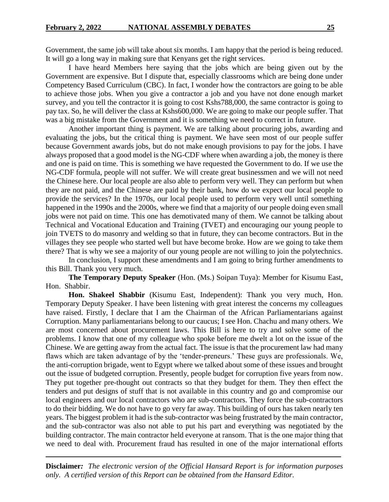Government, the same job will take about six months. I am happy that the period is being reduced. It will go a long way in making sure that Kenyans get the right services.

I have heard Members here saying that the jobs which are being given out by the Government are expensive. But I dispute that, especially classrooms which are being done under Competency Based Curriculum (CBC). In fact, I wonder how the contractors are going to be able to achieve those jobs. When you give a contractor a job and you have not done enough market survey, and you tell the contractor it is going to cost Kshs788,000, the same contractor is going to pay tax. So, he will deliver the class at Kshs600,000. We are going to make our people suffer. That was a big mistake from the Government and it is something we need to correct in future.

Another important thing is payment. We are talking about procuring jobs, awarding and evaluating the jobs, but the critical thing is payment. We have seen most of our people suffer because Government awards jobs, but do not make enough provisions to pay for the jobs. I have always proposed that a good model is the NG-CDF where when awarding a job, the money is there and one is paid on time. This is something we have requested the Government to do. If we use the NG-CDF formula, people will not suffer. We will create great businessmen and we will not need the Chinese here. Our local people are also able to perform very well. They can perform but when they are not paid, and the Chinese are paid by their bank, how do we expect our local people to provide the services? In the 1970s, our local people used to perform very well until something happened in the 1990s and the 2000s, where we find that a majority of our people doing even small jobs were not paid on time. This one has demotivated many of them. We cannot be talking about Technical and Vocational Education and Training (TVET) and encouraging our young people to join TVETS to do masonry and welding so that in future, they can become contractors. But in the villages they see people who started well but have become broke. How are we going to take them there? That is why we see a majority of our young people are not willing to join the polytechnics.

In conclusion, I support these amendments and I am going to bring further amendments to this Bill. Thank you very much.

**The Temporary Deputy Speaker** (Hon. (Ms.) Soipan Tuya): Member for Kisumu East, Hon. Shabbir.

**Hon. Shakeel Shabbir** (Kisumu East, Independent): Thank you very much, Hon. Temporary Deputy Speaker. I have been listening with great interest the concerns my colleagues have raised. Firstly, I declare that I am the Chairman of the African Parliamentarians against Corruption. Many parliamentarians belong to our caucus; I see Hon. Chachu and many others. We are most concerned about procurement laws. This Bill is here to try and solve some of the problems. I know that one of my colleague who spoke before me dwelt a lot on the issue of the Chinese. We are getting away from the actual fact. The issue is that the procurement law had many flaws which are taken advantage of by the 'tender-preneurs.' These guys are professionals. We, the anti-corruption brigade, went to Egypt where we talked about some of these issues and brought out the issue of budgeted corruption. Presently, people budget for corruption five years from now. They put together pre-thought out contracts so that they budget for them. They then effect the tenders and put designs of stuff that is not available in this country and go and compromise our local engineers and our local contractors who are sub-contractors. They force the sub-contractors to do their bidding. We do not have to go very far away. This building of ours has taken nearly ten years. The biggest problem it had is the sub-contractor was being frustrated by the main contractor, and the sub-contractor was also not able to put his part and everything was negotiated by the building contractor. The main contractor held everyone at ransom. That is the one major thing that we need to deal with. Procurement fraud has resulted in one of the major international efforts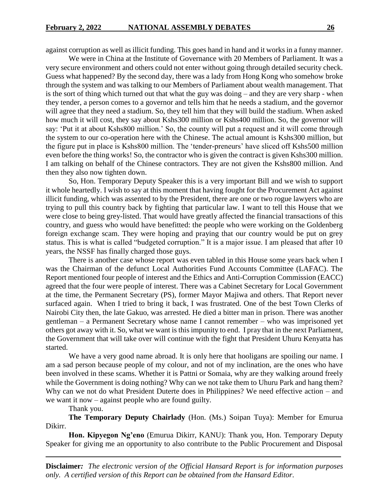against corruption as well as illicit funding. This goes hand in hand and it works in a funny manner.

We were in China at the Institute of Governance with 20 Members of Parliament. It was a very secure environment and others could not enter without going through detailed security check. Guess what happened? By the second day, there was a lady from Hong Kong who somehow broke through the system and was talking to our Members of Parliament about wealth management. That is the sort of thing which turned out that what the guy was doing – and they are very sharp - when they tender, a person comes to a governor and tells him that he needs a stadium, and the governor will agree that they need a stadium. So, they tell him that they will build the stadium. When asked how much it will cost, they say about Kshs300 million or Kshs400 million. So, the governor will say: 'Put it at about Kshs800 million.' So, the county will put a request and it will come through the system to our co-operation here with the Chinese. The actual amount is Kshs300 million, but the figure put in place is Kshs800 million. The 'tender-preneurs' have sliced off Kshs500 million even before the thing works! So, the contractor who is given the contract is given Kshs300 million. I am talking on behalf of the Chinese contractors. They are not given the Kshs800 million. And then they also now tighten down.

So, Hon. Temporary Deputy Speaker this is a very important Bill and we wish to support it whole heartedly. I wish to say at this moment that having fought for the Procurement Act against illicit funding, which was assented to by the President, there are one or two rogue lawyers who are trying to pull this country back by fighting that particular law. I want to tell this House that we were close to being grey-listed. That would have greatly affected the financial transactions of this country, and guess who would have benefitted: the people who were working on the Goldenberg foreign exchange scam. They were hoping and praying that our country would be put on grey status. This is what is called "budgeted corruption." It is a major issue. I am pleased that after 10 years, the NSSF has finally charged those guys.

There is another case whose report was even tabled in this House some years back when I was the Chairman of the defunct Local Authorities Fund Accounts Committee (LAFAC). The Report mentioned four people of interest and the Ethics and Anti-Corruption Commission (EACC) agreed that the four were people of interest. There was a Cabinet Secretary for Local Government at the time, the Permanent Secretary (PS), former Mayor Majiwa and others. That Report never surfaced again. When I tried to bring it back, I was frustrated. One of the best Town Clerks of Nairobi City then, the late Gakuo, was arrested. He died a bitter man in prison. There was another gentleman – a Permanent Secretary whose name I cannot remember – who was imprisoned yet others got away with it. So, what we want is this impunity to end. I pray that in the next Parliament, the Government that will take over will continue with the fight that President Uhuru Kenyatta has started.

We have a very good name abroad. It is only here that hooligans are spoiling our name. I am a sad person because people of my colour, and not of my inclination, are the ones who have been involved in these scams. Whether it is Pattni or Somaia, why are they walking around freely while the Government is doing nothing? Why can we not take them to Uhuru Park and hang them? Why can we not do what President Duterte does in Philippines? We need effective action – and we want it now – against people who are found guilty.

Thank you.

**The Temporary Deputy Chairlady** (Hon. (Ms.) Soipan Tuya): Member for Emurua Dikirr.

**Hon. Kipyegon Ng'eno** (Emurua Dikirr, KANU): Thank you, Hon. Temporary Deputy Speaker for giving me an opportunity to also contribute to the Public Procurement and Disposal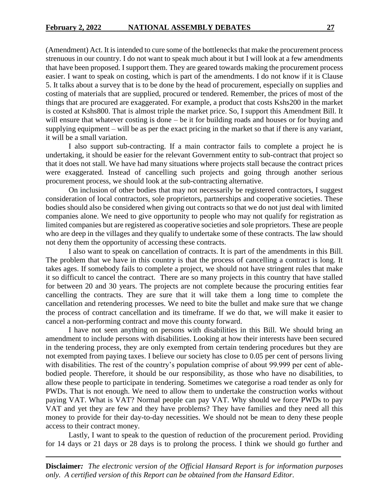(Amendment) Act. It is intended to cure some of the bottlenecks that make the procurement process strenuous in our country. I do not want to speak much about it but I will look at a few amendments that have been proposed. I support them. They are geared towards making the procurement process easier. I want to speak on costing, which is part of the amendments. I do not know if it is Clause 5. It talks about a survey that is to be done by the head of procurement, especially on supplies and costing of materials that are supplied, procured or tendered. Remember, the prices of most of the things that are procured are exaggerated. For example, a product that costs Kshs200 in the market is costed at Kshs800. That is almost triple the market price. So, I support this Amendment Bill. It will ensure that whatever costing is done – be it for building roads and houses or for buying and supplying equipment – will be as per the exact pricing in the market so that if there is any variant, it will be a small variation.

I also support sub-contracting. If a main contractor fails to complete a project he is undertaking, it should be easier for the relevant Government entity to sub-contract that project so that it does not stall. We have had many situations where projects stall because the contract prices were exaggerated. Instead of cancelling such projects and going through another serious procurement process, we should look at the sub-contracting alternative.

On inclusion of other bodies that may not necessarily be registered contractors, I suggest consideration of local contractors, sole proprietors, partnerships and cooperative societies. These bodies should also be considered when giving out contracts so that we do not just deal with limited companies alone. We need to give opportunity to people who may not qualify for registration as limited companies but are registered as cooperative societies and sole proprietors. These are people who are deep in the villages and they qualify to undertake some of these contracts. The law should not deny them the opportunity of accessing these contracts.

I also want to speak on cancellation of contracts. It is part of the amendments in this Bill. The problem that we have in this country is that the process of cancelling a contract is long. It takes ages. If somebody fails to complete a project, we should not have stringent rules that make it so difficult to cancel the contract. There are so many projects in this country that have stalled for between 20 and 30 years. The projects are not complete because the procuring entities fear cancelling the contracts. They are sure that it will take them a long time to complete the cancellation and retendering processes. We need to bite the bullet and make sure that we change the process of contract cancellation and its timeframe. If we do that, we will make it easier to cancel a non-performing contract and move this county forward.

I have not seen anything on persons with disabilities in this Bill. We should bring an amendment to include persons with disabilities. Looking at how their interests have been secured in the tendering process, they are only exempted from certain tendering procedures but they are not exempted from paying taxes. I believe our society has close to 0.05 per cent of persons living with disabilities. The rest of the country's population comprise of about 99.999 per cent of ablebodied people. Therefore, it should be our responsibility, as those who have no disabilities, to allow these people to participate in tendering. Sometimes we categorise a road tender as only for PWDs. That is not enough. We need to allow them to undertake the construction works without paying VAT. What is VAT? Normal people can pay VAT. Why should we force PWDs to pay VAT and yet they are few and they have problems? They have families and they need all this money to provide for their day-to-day necessities. We should not be mean to deny these people access to their contract money.

Lastly, I want to speak to the question of reduction of the procurement period. Providing for 14 days or 21 days or 28 days is to prolong the process. I think we should go further and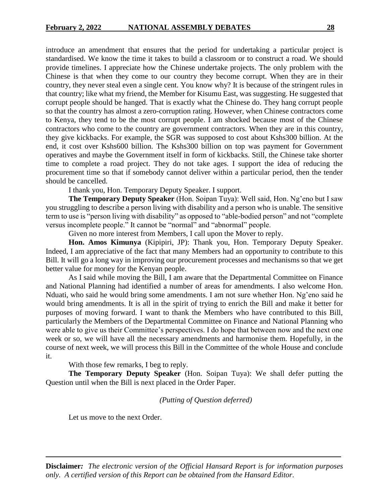introduce an amendment that ensures that the period for undertaking a particular project is standardised. We know the time it takes to build a classroom or to construct a road. We should provide timelines. I appreciate how the Chinese undertake projects. The only problem with the Chinese is that when they come to our country they become corrupt. When they are in their country, they never steal even a single cent. You know why? It is because of the stringent rules in that country; like what my friend, the Member for Kisumu East, was suggesting. He suggested that corrupt people should be hanged. That is exactly what the Chinese do. They hang corrupt people so that the country has almost a zero-corruption rating. However, when Chinese contractors come to Kenya, they tend to be the most corrupt people. I am shocked because most of the Chinese contractors who come to the country are government contractors. When they are in this country, they give kickbacks. For example, the SGR was supposed to cost about Kshs300 billion. At the end, it cost over Kshs600 billion. The Kshs300 billion on top was payment for Government operatives and maybe the Government itself in form of kickbacks. Still, the Chinese take shorter time to complete a road project. They do not take ages. I support the idea of reducing the procurement time so that if somebody cannot deliver within a particular period, then the tender should be cancelled.

I thank you, Hon. Temporary Deputy Speaker. I support.

**The Temporary Deputy Speaker** (Hon. Soipan Tuya): Well said, Hon. Ng'eno but I saw you struggling to describe a person living with disability and a person who is unable. The sensitive term to use is "person living with disability" as opposed to "able-bodied person" and not "complete versus incomplete people." It cannot be "normal" and "abnormal" people.

Given no more interest from Members, I call upon the Mover to reply.

**Hon. Amos Kimunya** (Kipipiri, JP): Thank you, Hon. Temporary Deputy Speaker. Indeed, I am appreciative of the fact that many Members had an opportunity to contribute to this Bill. It will go a long way in improving our procurement processes and mechanisms so that we get better value for money for the Kenyan people.

As I said while moving the Bill, I am aware that the Departmental Committee on Finance and National Planning had identified a number of areas for amendments. I also welcome Hon. Nduati, who said he would bring some amendments. I am not sure whether Hon. Ng'eno said he would bring amendments. It is all in the spirit of trying to enrich the Bill and make it better for purposes of moving forward. I want to thank the Members who have contributed to this Bill, particularly the Members of the Departmental Committee on Finance and National Planning who were able to give us their Committee's perspectives. I do hope that between now and the next one week or so, we will have all the necessary amendments and harmonise them. Hopefully, in the course of next week, we will process this Bill in the Committee of the whole House and conclude it.

With those few remarks, I beg to reply.

**The Temporary Deputy Speaker** (Hon. Soipan Tuya): We shall defer putting the Question until when the Bill is next placed in the Order Paper.

#### *(Putting of Question deferred)*

Let us move to the next Order.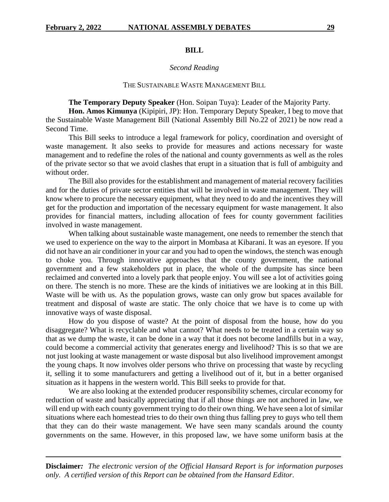#### **BILL**

#### *Second Reading*

#### THE SUSTAINABLE WASTE MANAGEMENT BILL

**The Temporary Deputy Speaker** (Hon. Soipan Tuya): Leader of the Majority Party.

**Hon. Amos Kimunya** (Kipipiri, JP): Hon. Temporary Deputy Speaker, I beg to move that the Sustainable Waste Management Bill (National Assembly Bill No.22 of 2021) be now read a Second Time.

This Bill seeks to introduce a legal framework for policy, coordination and oversight of waste management. It also seeks to provide for measures and actions necessary for waste management and to redefine the roles of the national and county governments as well as the roles of the private sector so that we avoid clashes that erupt in a situation that is full of ambiguity and without order.

The Bill also provides for the establishment and management of material recovery facilities and for the duties of private sector entities that will be involved in waste management. They will know where to procure the necessary equipment, what they need to do and the incentives they will get for the production and importation of the necessary equipment for waste management. It also provides for financial matters, including allocation of fees for county government facilities involved in waste management.

When talking about sustainable waste management, one needs to remember the stench that we used to experience on the way to the airport in Mombasa at Kibarani. It was an eyesore. If you did not have an air conditioner in your car and you had to open the windows, the stench was enough to choke you. Through innovative approaches that the county government, the national government and a few stakeholders put in place, the whole of the dumpsite has since been reclaimed and converted into a lovely park that people enjoy. You will see a lot of activities going on there. The stench is no more. These are the kinds of initiatives we are looking at in this Bill. Waste will be with us. As the population grows, waste can only grow but spaces available for treatment and disposal of waste are static. The only choice that we have is to come up with innovative ways of waste disposal.

How do you dispose of waste? At the point of disposal from the house, how do you disaggregate? What is recyclable and what cannot? What needs to be treated in a certain way so that as we dump the waste, it can be done in a way that it does not become landfills but in a way, could become a commercial activity that generates energy and livelihood? This is so that we are not just looking at waste management or waste disposal but also livelihood improvement amongst the young chaps. It now involves older persons who thrive on processing that waste by recycling it, selling it to some manufacturers and getting a livelihood out of it, but in a better organised situation as it happens in the western world. This Bill seeks to provide for that.

We are also looking at the extended producer responsibility schemes, circular economy for reduction of waste and basically appreciating that if all those things are not anchored in law, we will end up with each county government trying to do their own thing. We have seen a lot of similar situations where each homestead tries to do their own thing thus falling prey to guys who tell them that they can do their waste management. We have seen many scandals around the county governments on the same. However, in this proposed law, we have some uniform basis at the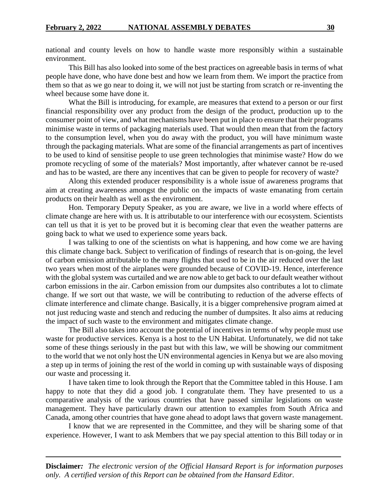national and county levels on how to handle waste more responsibly within a sustainable environment.

This Bill has also looked into some of the best practices on agreeable basis in terms of what people have done, who have done best and how we learn from them. We import the practice from them so that as we go near to doing it, we will not just be starting from scratch or re-inventing the wheel because some have done it.

What the Bill is introducing, for example, are measures that extend to a person or our first financial responsibility over any product from the design of the product, production up to the consumer point of view, and what mechanisms have been put in place to ensure that their programs minimise waste in terms of packaging materials used. That would then mean that from the factory to the consumption level, when you do away with the product, you will have minimum waste through the packaging materials. What are some of the financial arrangements as part of incentives to be used to kind of sensitise people to use green technologies that minimise waste? How do we promote recycling of some of the materials? Most importantly, after whatever cannot be re-used and has to be wasted, are there any incentives that can be given to people for recovery of waste?

Along this extended producer responsibility is a whole issue of awareness programs that aim at creating awareness amongst the public on the impacts of waste emanating from certain products on their health as well as the environment.

Hon. Temporary Deputy Speaker, as you are aware, we live in a world where effects of climate change are here with us. It is attributable to our interference with our ecosystem. Scientists can tell us that it is yet to be proved but it is becoming clear that even the weather patterns are going back to what we used to experience some years back.

I was talking to one of the scientists on what is happening, and how come we are having this climate change back. Subject to verification of findings of research that is on-going, the level of carbon emission attributable to the many flights that used to be in the air reduced over the last two years when most of the airplanes were grounded because of COVID-19. Hence, interference with the global system was curtailed and we are now able to get back to our default weather without carbon emissions in the air. Carbon emission from our dumpsites also contributes a lot to climate change. If we sort out that waste, we will be contributing to reduction of the adverse effects of climate interference and climate change. Basically, it is a bigger comprehensive program aimed at not just reducing waste and stench and reducing the number of dumpsites. It also aims at reducing the impact of such waste to the environment and mitigates climate change.

The Bill also takes into account the potential of incentives in terms of why people must use waste for productive services. Kenya is a host to the UN Habitat. Unfortunately, we did not take some of these things seriously in the past but with this law, we will be showing our commitment to the world that we not only host the UN environmental agencies in Kenya but we are also moving a step up in terms of joining the rest of the world in coming up with sustainable ways of disposing our waste and processing it.

I have taken time to look through the Report that the Committee tabled in this House. I am happy to note that they did a good job. I congratulate them. They have presented to us a comparative analysis of the various countries that have passed similar legislations on waste management. They have particularly drawn our attention to examples from South Africa and Canada, among other countries that have gone ahead to adopt laws that govern waste management.

I know that we are represented in the Committee, and they will be sharing some of that experience. However, I want to ask Members that we pay special attention to this Bill today or in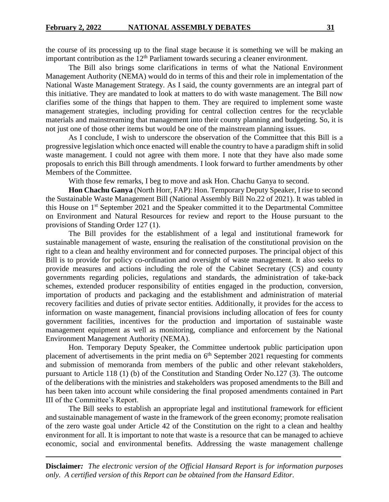the course of its processing up to the final stage because it is something we will be making an important contribution as the  $12<sup>th</sup>$  Parliament towards securing a cleaner environment.

The Bill also brings some clarifications in terms of what the National Environment Management Authority (NEMA) would do in terms of this and their role in implementation of the National Waste Management Strategy. As I said, the county governments are an integral part of this initiative. They are mandated to look at matters to do with waste management. The Bill now clarifies some of the things that happen to them. They are required to implement some waste management strategies, including providing for central collection centres for the recyclable materials and mainstreaming that management into their county planning and budgeting. So, it is not just one of those other items but would be one of the mainstream planning issues.

As I conclude, I wish to underscore the observation of the Committee that this Bill is a progressive legislation which once enacted will enable the country to have a paradigm shift in solid waste management. I could not agree with them more. I note that they have also made some proposals to enrich this Bill through amendments. I look forward to further amendments by other Members of the Committee.

With those few remarks, I beg to move and ask Hon. Chachu Ganya to second.

**Hon Chachu Ganya** (North Horr, FAP): Hon. Temporary Deputy Speaker, I rise to second the Sustainable Waste Management Bill (National Assembly Bill No.22 of 2021). It was tabled in this House on 1st September 2021 and the Speaker committed it to the Departmental Committee on Environment and Natural Resources for review and report to the House pursuant to the provisions of Standing Order 127 (1).

The Bill provides for the establishment of a legal and institutional framework for sustainable management of waste, ensuring the realisation of the constitutional provision on the right to a clean and healthy environment and for connected purposes. The principal object of this Bill is to provide for policy co-ordination and oversight of waste management. It also seeks to provide measures and actions including the role of the Cabinet Secretary (CS) and county governments regarding policies, regulations and standards, the administration of take-back schemes, extended producer responsibility of entities engaged in the production, conversion, importation of products and packaging and the establishment and administration of material recovery facilities and duties of private sector entities. Additionally, it provides for the access to information on waste management, financial provisions including allocation of fees for county government facilities, incentives for the production and importation of sustainable waste management equipment as well as monitoring, compliance and enforcement by the National Environment Management Authority (NEMA).

Hon. Temporary Deputy Speaker, the Committee undertook public participation upon placement of advertisements in the print media on  $6<sup>th</sup>$  September 2021 requesting for comments and submission of memoranda from members of the public and other relevant stakeholders, pursuant to Article 118 (1) (b) of the Constitution and Standing Order No.127 (3). The outcome of the deliberations with the ministries and stakeholders was proposed amendments to the Bill and has been taken into account while considering the final proposed amendments contained in Part III of the Committee's Report.

The Bill seeks to establish an appropriate legal and institutional framework for efficient and sustainable management of waste in the framework of the green economy; promote realisation of the zero waste goal under Article 42 of the Constitution on the right to a clean and healthy environment for all. It is important to note that waste is a resource that can be managed to achieve economic, social and environmental benefits. Addressing the waste management challenge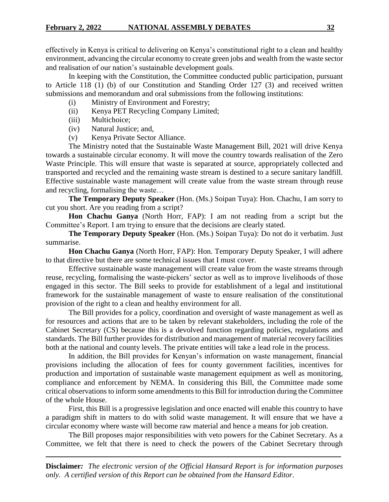effectively in Kenya is critical to delivering on Kenya's constitutional right to a clean and healthy environment, advancing the circular economy to create green jobs and wealth from the waste sector and realisation of our nation's sustainable development goals.

In keeping with the Constitution, the Committee conducted public participation, pursuant to Article 118 (1) (b) of our Constitution and Standing Order 127 (3) and received written submissions and memorandum and oral submissions from the following institutions:

- (i) Ministry of Environment and Forestry;
- (ii) Kenya PET Recycling Company Limited;
- (iii) Multichoice;
- (iv) Natural Justice; and,
- (v) Kenya Private Sector Alliance.

The Ministry noted that the Sustainable Waste Management Bill, 2021 will drive Kenya towards a sustainable circular economy. It will move the country towards realisation of the Zero Waste Principle. This will ensure that waste is separated at source, appropriately collected and transported and recycled and the remaining waste stream is destined to a secure sanitary landfill. Effective sustainable waste management will create value from the waste stream through reuse and recycling, formalising the waste…

**The Temporary Deputy Speaker** (Hon. (Ms.) Soipan Tuya): Hon. Chachu, I am sorry to cut you short. Are you reading from a script?

**Hon Chachu Ganya** (North Horr, FAP): I am not reading from a script but the Committee's Report. I am trying to ensure that the decisions are clearly stated.

**The Temporary Deputy Speaker** (Hon. (Ms.) Soipan Tuya): Do not do it verbatim. Just summarise.

**Hon Chachu Ganya** (North Horr, FAP): Hon. Temporary Deputy Speaker, I will adhere to that directive but there are some technical issues that I must cover.

Effective sustainable waste management will create value from the waste streams through reuse, recycling, formalising the waste-pickers' sector as well as to improve livelihoods of those engaged in this sector. The Bill seeks to provide for establishment of a legal and institutional framework for the sustainable management of waste to ensure realisation of the constitutional provision of the right to a clean and healthy environment for all.

The Bill provides for a policy, coordination and oversight of waste management as well as for resources and actions that are to be taken by relevant stakeholders, including the role of the Cabinet Secretary (CS) because this is a devolved function regarding policies, regulations and standards. The Bill further provides for distribution and management of material recovery facilities both at the national and county levels. The private entities will take a lead role in the process.

In addition, the Bill provides for Kenyan's information on waste management, financial provisions including the allocation of fees for county government facilities, incentives for production and importation of sustainable waste management equipment as well as monitoring, compliance and enforcement by NEMA. In considering this Bill, the Committee made some critical observations to inform some amendments to this Bill for introduction during the Committee of the whole House.

First, this Bill is a progressive legislation and once enacted will enable this country to have a paradigm shift in matters to do with solid waste management. It will ensure that we have a circular economy where waste will become raw material and hence a means for job creation.

The Bill proposes major responsibilities with veto powers for the Cabinet Secretary. As a Committee, we felt that there is need to check the powers of the Cabinet Secretary through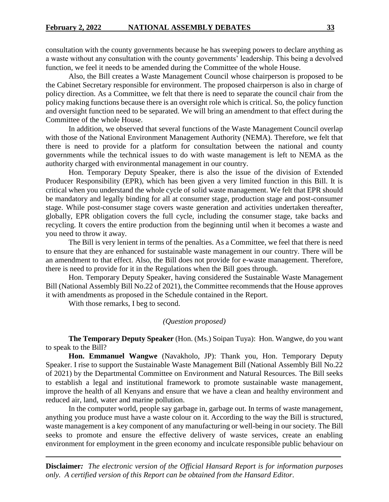consultation with the county governments because he has sweeping powers to declare anything as a waste without any consultation with the county governments' leadership. This being a devolved function, we feel it needs to be amended during the Committee of the whole House.

Also, the Bill creates a Waste Management Council whose chairperson is proposed to be the Cabinet Secretary responsible for environment. The proposed chairperson is also in charge of policy direction. As a Committee, we felt that there is need to separate the council chair from the policy making functions because there is an oversight role which is critical. So, the policy function and oversight function need to be separated. We will bring an amendment to that effect during the Committee of the whole House.

In addition, we observed that several functions of the Waste Management Council overlap with those of the National Environment Management Authority (NEMA). Therefore, we felt that there is need to provide for a platform for consultation between the national and county governments while the technical issues to do with waste management is left to NEMA as the authority charged with environmental management in our country.

Hon. Temporary Deputy Speaker, there is also the issue of the division of Extended Producer Responsibility (EPR), which has been given a very limited function in this Bill. It is critical when you understand the whole cycle of solid waste management. We felt that EPR should be mandatory and legally binding for all at consumer stage, production stage and post-consumer stage. While post-consumer stage covers waste generation and activities undertaken thereafter, globally, EPR obligation covers the full cycle, including the consumer stage, take backs and recycling. It covers the entire production from the beginning until when it becomes a waste and you need to throw it away.

The Bill is very lenient in terms of the penalties. As a Committee, we feel that there is need to ensure that they are enhanced for sustainable waste management in our country. There will be an amendment to that effect. Also, the Bill does not provide for e-waste management. Therefore, there is need to provide for it in the Regulations when the Bill goes through.

Hon. Temporary Deputy Speaker, having considered the Sustainable Waste Management Bill (National Assembly Bill No.22 of 2021), the Committee recommends that the House approves it with amendments as proposed in the Schedule contained in the Report.

With those remarks, I beg to second.

#### *(Question proposed)*

**The Temporary Deputy Speaker** (Hon. (Ms.) Soipan Tuya): Hon. Wangwe, do you want to speak to the Bill?

**Hon. Emmanuel Wangwe** (Navakholo, JP): Thank you, Hon. Temporary Deputy Speaker. I rise to support the Sustainable Waste Management Bill (National Assembly Bill No.22 of 2021) by the Departmental Committee on Environment and Natural Resources. The Bill seeks to establish a legal and institutional framework to promote sustainable waste management, improve the health of all Kenyans and ensure that we have a clean and healthy environment and reduced air, land, water and marine pollution.

In the computer world, people say garbage in, garbage out. In terms of waste management, anything you produce must have a waste colour on it. According to the way the Bill is structured, waste management is a key component of any manufacturing or well-being in our society. The Bill seeks to promote and ensure the effective delivery of waste services, create an enabling environment for employment in the green economy and inculcate responsible public behaviour on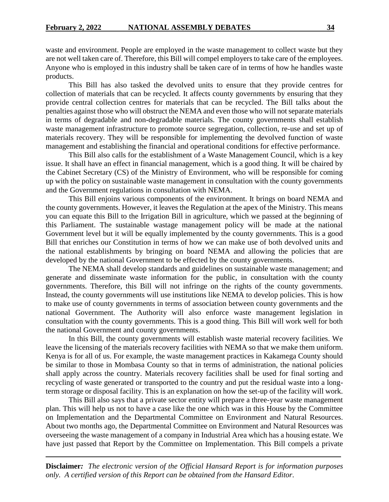waste and environment. People are employed in the waste management to collect waste but they are not well taken care of. Therefore, this Bill will compel employers to take care of the employees. Anyone who is employed in this industry shall be taken care of in terms of how he handles waste products.

This Bill has also tasked the devolved units to ensure that they provide centres for collection of materials that can be recycled. It affects county governments by ensuring that they provide central collection centres for materials that can be recycled. The Bill talks about the penalties against those who will obstruct the NEMA and even those who will not separate materials in terms of degradable and non-degradable materials. The county governments shall establish waste management infrastructure to promote source segregation, collection, re-use and set up of materials recovery. They will be responsible for implementing the devolved function of waste management and establishing the financial and operational conditions for effective performance.

This Bill also calls for the establishment of a Waste Management Council, which is a key issue. It shall have an effect in financial management, which is a good thing. It will be chaired by the Cabinet Secretary (CS) of the Ministry of Environment, who will be responsible for coming up with the policy on sustainable waste management in consultation with the county governments and the Government regulations in consultation with NEMA.

This Bill enjoins various components of the environment. It brings on board NEMA and the county governments. However, it leaves the Regulation at the apex of the Ministry. This means you can equate this Bill to the Irrigation Bill in agriculture, which we passed at the beginning of this Parliament. The sustainable wastage management policy will be made at the national Government level but it will be equally implemented by the county governments. This is a good Bill that enriches our Constitution in terms of how we can make use of both devolved units and the national establishments by bringing on board NEMA and allowing the policies that are developed by the national Government to be effected by the county governments.

The NEMA shall develop standards and guidelines on sustainable waste management; and generate and disseminate waste information for the public, in consultation with the county governments. Therefore, this Bill will not infringe on the rights of the county governments. Instead, the county governments will use institutions like NEMA to develop policies. This is how to make use of county governments in terms of association between county governments and the national Government. The Authority will also enforce waste management legislation in consultation with the county governments. This is a good thing. This Bill will work well for both the national Government and county governments.

In this Bill, the county governments will establish waste material recovery facilities. We leave the licensing of the materials recovery facilities with NEMA so that we make them uniform. Kenya is for all of us. For example, the waste management practices in Kakamega County should be similar to those in Mombasa County so that in terms of administration, the national policies shall apply across the country. Materials recovery facilities shall be used for final sorting and recycling of waste generated or transported to the country and put the residual waste into a longterm storage or disposal facility. This is an explanation on how the set-up of the facility will work.

This Bill also says that a private sector entity will prepare a three-year waste management plan. This will help us not to have a case like the one which was in this House by the Committee on Implementation and the Departmental Committee on Environment and Natural Resources. About two months ago, the Departmental Committee on Environment and Natural Resources was overseeing the waste management of a company in Industrial Area which has a housing estate. We have just passed that Report by the Committee on Implementation. This Bill compels a private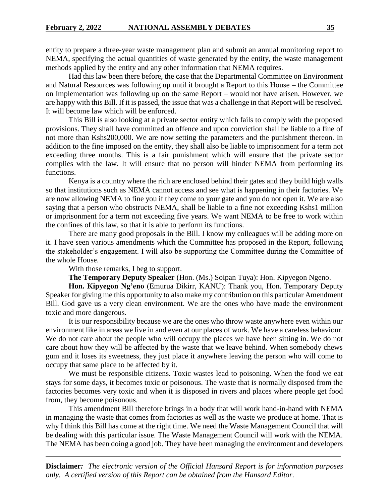entity to prepare a three-year waste management plan and submit an annual monitoring report to NEMA, specifying the actual quantities of waste generated by the entity, the waste management methods applied by the entity and any other information that NEMA requires.

Had this law been there before, the case that the Departmental Committee on Environment and Natural Resources was following up until it brought a Report to this House – the Committee on Implementation was following up on the same Report – would not have arisen. However, we are happy with this Bill. If it is passed, the issue that was a challenge in that Report will be resolved. It will become law which will be enforced.

This Bill is also looking at a private sector entity which fails to comply with the proposed provisions. They shall have committed an offence and upon conviction shall be liable to a fine of not more than Kshs200,000. We are now setting the parameters and the punishment thereon. In addition to the fine imposed on the entity, they shall also be liable to imprisonment for a term not exceeding three months. This is a fair punishment which will ensure that the private sector complies with the law. It will ensure that no person will hinder NEMA from performing its functions.

Kenya is a country where the rich are enclosed behind their gates and they build high walls so that institutions such as NEMA cannot access and see what is happening in their factories. We are now allowing NEMA to fine you if they come to your gate and you do not open it. We are also saying that a person who obstructs NEMA, shall be liable to a fine not exceeding Kshs1 million or imprisonment for a term not exceeding five years. We want NEMA to be free to work within the confines of this law, so that it is able to perform its functions.

There are many good proposals in the Bill. I know my colleagues will be adding more on it. I have seen various amendments which the Committee has proposed in the Report, following the stakeholder's engagement. I will also be supporting the Committee during the Committee of the whole House.

With those remarks, I beg to support.

**The Temporary Deputy Speaker** (Hon. (Ms.) Soipan Tuya): Hon. Kipyegon Ngeno.

**Hon. Kipyegon Ng'eno** (Emurua Dikirr, KANU): Thank you, Hon. Temporary Deputy Speaker for giving me this opportunity to also make my contribution on this particular Amendment Bill. God gave us a very clean environment. We are the ones who have made the environment toxic and more dangerous.

It is our responsibility because we are the ones who throw waste anywhere even within our environment like in areas we live in and even at our places of work. We have a careless behaviour. We do not care about the people who will occupy the places we have been sitting in. We do not care about how they will be affected by the waste that we leave behind. When somebody chews gum and it loses its sweetness, they just place it anywhere leaving the person who will come to occupy that same place to be affected by it.

We must be responsible citizens. Toxic wastes lead to poisoning. When the food we eat stays for some days, it becomes toxic or poisonous. The waste that is normally disposed from the factories becomes very toxic and when it is disposed in rivers and places where people get food from, they become poisonous.

This amendment Bill therefore brings in a body that will work hand-in-hand with NEMA in managing the waste that comes from factories as well as the waste we produce at home. That is why I think this Bill has come at the right time. We need the Waste Management Council that will be dealing with this particular issue. The Waste Management Council will work with the NEMA. The NEMA has been doing a good job. They have been managing the environment and developers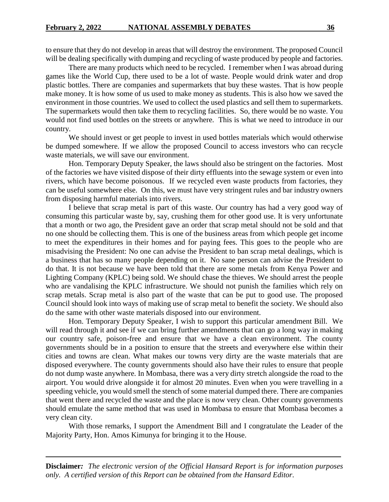to ensure that they do not develop in areas that will destroy the environment. The proposed Council will be dealing specifically with dumping and recycling of waste produced by people and factories.

There are many products which need to be recycled. I remember when I was abroad during games like the World Cup, there used to be a lot of waste. People would drink water and drop plastic bottles. There are companies and supermarkets that buy these wastes. That is how people make money. It is how some of us used to make money as students. This is also how we saved the environment in those countries. We used to collect the used plastics and sell them to supermarkets. The supermarkets would then take them to recycling facilities. So, there would be no waste. You would not find used bottles on the streets or anywhere. This is what we need to introduce in our country.

We should invest or get people to invest in used bottles materials which would otherwise be dumped somewhere. If we allow the proposed Council to access investors who can recycle waste materials, we will save our environment.

Hon. Temporary Deputy Speaker, the laws should also be stringent on the factories. Most of the factories we have visited dispose of their dirty effluents into the sewage system or even into rivers, which have become poisonous. If we recycled even waste products from factories, they can be useful somewhere else. On this, we must have very stringent rules and bar industry owners from disposing harmful materials into rivers.

I believe that scrap metal is part of this waste. Our country has had a very good way of consuming this particular waste by, say, crushing them for other good use. It is very unfortunate that a month or two ago, the President gave an order that scrap metal should not be sold and that no one should be collecting them. This is one of the business areas from which people get income to meet the expenditures in their homes and for paying fees. This goes to the people who are misadvising the President: No one can advise the President to ban scrap metal dealings, which is a business that has so many people depending on it. No sane person can advise the President to do that. It is not because we have been told that there are some metals from Kenya Power and Lighting Company (KPLC) being sold. We should chase the thieves. We should arrest the people who are vandalising the KPLC infrastructure. We should not punish the families which rely on scrap metals. Scrap metal is also part of the waste that can be put to good use. The proposed Council should look into ways of making use of scrap metal to benefit the society. We should also do the same with other waste materials disposed into our environment.

Hon. Temporary Deputy Speaker, I wish to support this particular amendment Bill. We will read through it and see if we can bring further amendments that can go a long way in making our country safe, poison-free and ensure that we have a clean environment. The county governments should be in a position to ensure that the streets and everywhere else within their cities and towns are clean. What makes our towns very dirty are the waste materials that are disposed everywhere. The county governments should also have their rules to ensure that people do not dump waste anywhere. In Mombasa, there was a very dirty stretch alongside the road to the airport. You would drive alongside it for almost 20 minutes. Even when you were travelling in a speeding vehicle, you would smell the stench of some material dumped there. There are companies that went there and recycled the waste and the place is now very clean. Other county governments should emulate the same method that was used in Mombasa to ensure that Mombasa becomes a very clean city.

With those remarks, I support the Amendment Bill and I congratulate the Leader of the Majority Party, Hon. Amos Kimunya for bringing it to the House.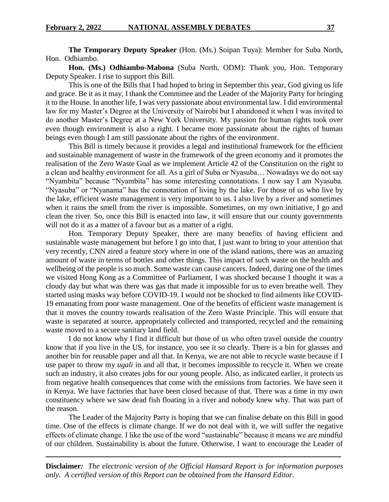**The Temporary Deputy Speaker** (Hon. (Ms.) Soipan Tuya): Member for Suba North, Hon. Odhiambo.

**Hon. (Ms.) Odhiambo-Mabona** (Suba North, ODM): Thank you, Hon. Temporary Deputy Speaker. I rise to support this Bill.

This is one of the Bills that I had hoped to bring in September this year, God giving us life and grace. Be it as it may, I thank the Committee and the Leader of the Majority Party for bringing it to the House. In another life, I was very passionate about environmental law. I did environmental law for my Master's Degree at the University of Nairobi but I abandoned it when I was invited to do another Master's Degree at a New York University. My passion for human rights took over even though environment is also a right. I became more passionate about the rights of human beings even though I am still passionate about the rights of the environment.

This Bill is timely because it provides a legal and institutional framework for the efficient and sustainable management of waste in the framework of the green economy and it promotes the realisation of the Zero Waste Goal as we implement Article 42 of the Constitution on the right to a clean and healthy environment for all. As a girl of Suba or Nyasuba… Nowadays we do not say "Nyambita" because "Nyambita" has some interesting connotations. I now say I am Nyasuba. "Nyasuba" or "Nyanama" has the connotation of living by the lake. For those of us who live by the lake, efficient waste management is very important to us. I also live by a river and sometimes when it rains the smell from the river is impossible. Sometimes, on my own initiative, I go and clean the river. So, once this Bill is enacted into law, it will ensure that our county governments will not do it as a matter of a favour but as a matter of a right.

Hon. Temporary Deputy Speaker, there are many benefits of having efficient and sustainable waste management but before I go into that, I just want to bring to your attention that very recently, CNN aired a feature story where in one of the island nations, there was an amazing amount of waste in terms of bottles and other things. This impact of such waste on the health and wellbeing of the people is so much. Some waste can cause cancers. Indeed, during one of the times we visited Hong Kong as a Committee of Parliament, I was shocked because I thought it was a cloudy day but what was there was gas that made it impossible for us to even breathe well. They started using masks way before COVID-19. I would not be shocked to find ailments like COVID-19 emanating from poor waste management. One of the benefits of efficient waste management is that it moves the country towards realisation of the Zero Waste Principle. This will ensure that waste is separated at source, appropriately collected and transported, recycled and the remaining waste moved to a secure sanitary land field.

I do not know why I find it difficult but those of us who often travel outside the country know that if you live in the US, for instance, you see it so clearly. There is a bin for glasses and another bin for reusable paper and all that. In Kenya, we are not able to recycle waste because if I use paper to throw my *ugali* in and all that, it becomes impossible to recycle it. When we create such an industry, it also creates jobs for our young people. Also, as indicated earlier, it protects us from negative health consequences that come with the emissions from factories. We have seen it in Kenya. We have factories that have been closed because of that. There was a time in my own constituency where we saw dead fish floating in a river and nobody knew why. That was part of the reason.

The Leader of the Majority Party is hoping that we can finalise debate on this Bill in good time. One of the effects is climate change. If we do not deal with it, we will suffer the negative effects of climate change. I like the use of the word "sustainable" because it means we are mindful of our children. Sustainability is about the future. Otherwise, I want to encourage the Leader of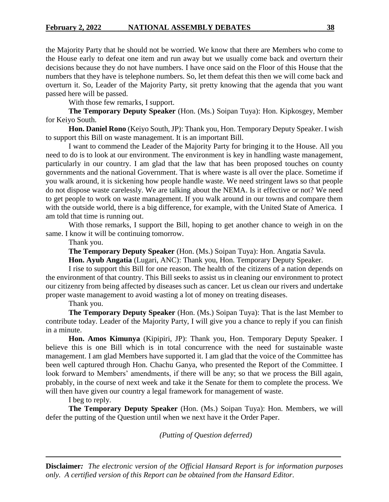the Majority Party that he should not be worried. We know that there are Members who come to the House early to defeat one item and run away but we usually come back and overturn their decisions because they do not have numbers. I have once said on the Floor of this House that the numbers that they have is telephone numbers. So, let them defeat this then we will come back and overturn it. So, Leader of the Majority Party, sit pretty knowing that the agenda that you want passed here will be passed.

With those few remarks, I support.

**The Temporary Deputy Speaker** (Hon. (Ms.) Soipan Tuya): Hon. Kipkosgey, Member for Keiyo South.

**Hon. Daniel Rono** (Keiyo South, JP): Thank you, Hon. Temporary Deputy Speaker. I wish to support this Bill on waste management. It is an important Bill.

I want to commend the Leader of the Majority Party for bringing it to the House. All you need to do is to look at our environment. The environment is key in handling waste management, particularly in our country. I am glad that the law that has been proposed touches on county governments and the national Government. That is where waste is all over the place. Sometime if you walk around, it is sickening how people handle waste. We need stringent laws so that people do not dispose waste carelessly. We are talking about the NEMA. Is it effective or not? We need to get people to work on waste management. If you walk around in our towns and compare them with the outside world, there is a big difference, for example, with the United State of America. I am told that time is running out.

With those remarks, I support the Bill, hoping to get another chance to weigh in on the same. I know it will be continuing tomorrow.

Thank you.

**The Temporary Deputy Speaker** (Hon. (Ms.) Soipan Tuya): Hon. Angatia Savula.

**Hon. Ayub Angatia** (Lugari, ANC): Thank you, Hon. Temporary Deputy Speaker.

I rise to support this Bill for one reason. The health of the citizens of a nation depends on the environment of that country. This Bill seeks to assist us in cleaning our environment to protect our citizenry from being affected by diseases such as cancer. Let us clean our rivers and undertake proper waste management to avoid wasting a lot of money on treating diseases.

Thank you.

**The Temporary Deputy Speaker** (Hon. (Ms.) Soipan Tuya): That is the last Member to contribute today. Leader of the Majority Party, I will give you a chance to reply if you can finish in a minute.

**Hon. Amos Kimunya** (Kipipiri, JP): Thank you, Hon. Temporary Deputy Speaker. I believe this is one Bill which is in total concurrence with the need for sustainable waste management. I am glad Members have supported it. I am glad that the voice of the Committee has been well captured through Hon. Chachu Ganya, who presented the Report of the Committee. I look forward to Members' amendments, if there will be any; so that we process the Bill again, probably, in the course of next week and take it the Senate for them to complete the process. We will then have given our country a legal framework for management of waste.

I beg to reply.

**The Temporary Deputy Speaker** (Hon. (Ms.) Soipan Tuya): Hon. Members, we will defer the putting of the Question until when we next have it the Order Paper.

*(Putting of Question deferred)*